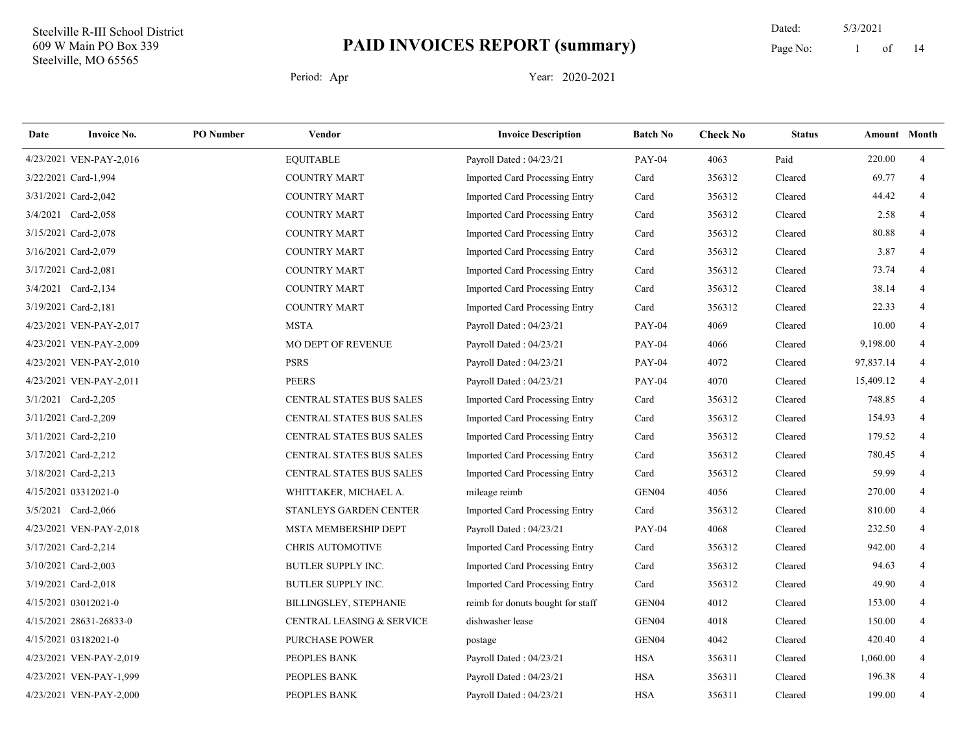14 Dated: 5/3/2021 Page No: 1 of

| Date | <b>Invoice No.</b>      | <b>PO</b> Number | Vendor                          | <b>Invoice Description</b>            | <b>Batch No</b> | <b>Check No</b> | <b>Status</b> | Amount Month |                |
|------|-------------------------|------------------|---------------------------------|---------------------------------------|-----------------|-----------------|---------------|--------------|----------------|
|      | 4/23/2021 VEN-PAY-2,016 |                  | <b>EQUITABLE</b>                | Payroll Dated: 04/23/21               | <b>PAY-04</b>   | 4063            | Paid          | 220.00       | $\overline{4}$ |
|      | 3/22/2021 Card-1,994    |                  | <b>COUNTRY MART</b>             | <b>Imported Card Processing Entry</b> | Card            | 356312          | Cleared       | 69.77        | $\overline{4}$ |
|      | 3/31/2021 Card-2,042    |                  | <b>COUNTRY MART</b>             | <b>Imported Card Processing Entry</b> | Card            | 356312          | Cleared       | 44.42        | $\overline{4}$ |
|      | 3/4/2021 Card-2,058     |                  | <b>COUNTRY MART</b>             | <b>Imported Card Processing Entry</b> | Card            | 356312          | Cleared       | 2.58         | $\overline{4}$ |
|      | 3/15/2021 Card-2,078    |                  | <b>COUNTRY MART</b>             | <b>Imported Card Processing Entry</b> | Card            | 356312          | Cleared       | 80.88        | $\overline{4}$ |
|      | 3/16/2021 Card-2,079    |                  | <b>COUNTRY MART</b>             | Imported Card Processing Entry        | Card            | 356312          | Cleared       | 3.87         | $\overline{4}$ |
|      | 3/17/2021 Card-2,081    |                  | <b>COUNTRY MART</b>             | <b>Imported Card Processing Entry</b> | Card            | 356312          | Cleared       | 73.74        | 4              |
|      | 3/4/2021 Card-2,134     |                  | <b>COUNTRY MART</b>             | <b>Imported Card Processing Entry</b> | Card            | 356312          | Cleared       | 38.14        | $\overline{4}$ |
|      | 3/19/2021 Card-2,181    |                  | <b>COUNTRY MART</b>             | <b>Imported Card Processing Entry</b> | Card            | 356312          | Cleared       | 22.33        | $\overline{4}$ |
|      | 4/23/2021 VEN-PAY-2,017 |                  | <b>MSTA</b>                     | Payroll Dated: 04/23/21               | <b>PAY-04</b>   | 4069            | Cleared       | 10.00        | 4              |
|      | 4/23/2021 VEN-PAY-2,009 |                  | MO DEPT OF REVENUE              | Payroll Dated: 04/23/21               | <b>PAY-04</b>   | 4066            | Cleared       | 9,198.00     | $\overline{4}$ |
|      | 4/23/2021 VEN-PAY-2,010 |                  | <b>PSRS</b>                     | Payroll Dated: 04/23/21               | <b>PAY-04</b>   | 4072            | Cleared       | 97,837.14    | $\overline{4}$ |
|      | 4/23/2021 VEN-PAY-2,011 |                  | <b>PEERS</b>                    | Payroll Dated: 04/23/21               | <b>PAY-04</b>   | 4070            | Cleared       | 15,409.12    | 4              |
|      | 3/1/2021 Card-2,205     |                  | <b>CENTRAL STATES BUS SALES</b> | <b>Imported Card Processing Entry</b> | Card            | 356312          | Cleared       | 748.85       | $\overline{4}$ |
|      | 3/11/2021 Card-2,209    |                  | CENTRAL STATES BUS SALES        | <b>Imported Card Processing Entry</b> | Card            | 356312          | Cleared       | 154.93       | $\overline{4}$ |
|      | 3/11/2021 Card-2,210    |                  | CENTRAL STATES BUS SALES        | Imported Card Processing Entry        | Card            | 356312          | Cleared       | 179.52       | $\overline{4}$ |
|      | 3/17/2021 Card-2,212    |                  | CENTRAL STATES BUS SALES        | Imported Card Processing Entry        | Card            | 356312          | Cleared       | 780.45       | $\overline{4}$ |
|      | 3/18/2021 Card-2,213    |                  | CENTRAL STATES BUS SALES        | Imported Card Processing Entry        | Card            | 356312          | Cleared       | 59.99        | 4              |
|      | 4/15/2021 03312021-0    |                  | WHITTAKER, MICHAEL A.           | mileage reimb                         | GEN04           | 4056            | Cleared       | 270.00       | 4              |
|      | 3/5/2021 Card-2,066     |                  | STANLEYS GARDEN CENTER          | Imported Card Processing Entry        | Card            | 356312          | Cleared       | 810.00       | $\overline{4}$ |
|      | 4/23/2021 VEN-PAY-2,018 |                  | <b>MSTA MEMBERSHIP DEPT</b>     | Payroll Dated: 04/23/21               | <b>PAY-04</b>   | 4068            | Cleared       | 232.50       | $\overline{4}$ |
|      | 3/17/2021 Card-2,214    |                  | <b>CHRIS AUTOMOTIVE</b>         | Imported Card Processing Entry        | Card            | 356312          | Cleared       | 942.00       | $\overline{4}$ |
|      | 3/10/2021 Card-2,003    |                  | <b>BUTLER SUPPLY INC.</b>       | Imported Card Processing Entry        | Card            | 356312          | Cleared       | 94.63        | 4              |
|      | 3/19/2021 Card-2,018    |                  | BUTLER SUPPLY INC.              | Imported Card Processing Entry        | Card            | 356312          | Cleared       | 49.90        | $\overline{4}$ |
|      | 4/15/2021 03012021-0    |                  | <b>BILLINGSLEY, STEPHANIE</b>   | reimb for donuts bought for staff     | GEN04           | 4012            | Cleared       | 153.00       | $\overline{4}$ |
|      | 4/15/2021 28631-26833-0 |                  | CENTRAL LEASING & SERVICE       | dishwasher lease                      | GEN04           | 4018            | Cleared       | 150.00       | $\overline{4}$ |
|      | 4/15/2021 03182021-0    |                  | <b>PURCHASE POWER</b>           | postage                               | GEN04           | 4042            | Cleared       | 420.40       | $\overline{4}$ |
|      | 4/23/2021 VEN-PAY-2,019 |                  | PEOPLES BANK                    | Payroll Dated: 04/23/21               | <b>HSA</b>      | 356311          | Cleared       | 1,060.00     | 4              |
|      | 4/23/2021 VEN-PAY-1,999 |                  | PEOPLES BANK                    | Payroll Dated: 04/23/21               | <b>HSA</b>      | 356311          | Cleared       | 196.38       | $\overline{4}$ |
|      | 4/23/2021 VEN-PAY-2,000 |                  | PEOPLES BANK                    | Payroll Dated: 04/23/21               | <b>HSA</b>      | 356311          | Cleared       | 199.00       | $\overline{4}$ |
|      |                         |                  |                                 |                                       |                 |                 |               |              |                |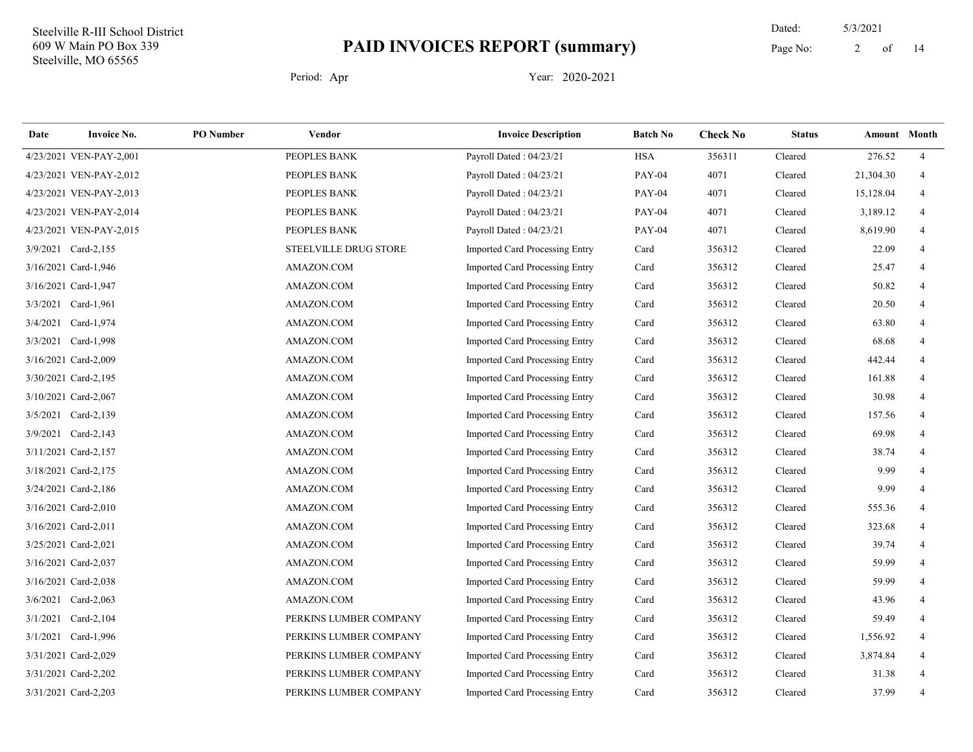14 Dated: 5/3/2021 Page No: 2 of

| Date | <b>Invoice No.</b>      | <b>PO</b> Number | Vendor                       | <b>Invoice Description</b>            | <b>Batch No</b> | <b>Check No</b> | <b>Status</b> | Amount Month |                |
|------|-------------------------|------------------|------------------------------|---------------------------------------|-----------------|-----------------|---------------|--------------|----------------|
|      | 4/23/2021 VEN-PAY-2,001 |                  | PEOPLES BANK                 | Payroll Dated: 04/23/21               | <b>HSA</b>      | 356311          | Cleared       | 276.52       | $\overline{4}$ |
|      | 4/23/2021 VEN-PAY-2,012 |                  | PEOPLES BANK                 | Payroll Dated: 04/23/21               | <b>PAY-04</b>   | 4071            | Cleared       | 21,304.30    | 4              |
|      | 4/23/2021 VEN-PAY-2,013 |                  | PEOPLES BANK                 | Payroll Dated: 04/23/21               | <b>PAY-04</b>   | 4071            | Cleared       | 15,128.04    | 4              |
|      | 4/23/2021 VEN-PAY-2,014 |                  | PEOPLES BANK                 | Payroll Dated: 04/23/21               | <b>PAY-04</b>   | 4071            | Cleared       | 3,189.12     |                |
|      | 4/23/2021 VEN-PAY-2,015 |                  | PEOPLES BANK                 | Payroll Dated: 04/23/21               | <b>PAY-04</b>   | 4071            | Cleared       | 8,619.90     | 4              |
|      | 3/9/2021 Card-2,155     |                  | <b>STEELVILLE DRUG STORE</b> | <b>Imported Card Processing Entry</b> | Card            | 356312          | Cleared       | 22.09        | 4              |
|      | 3/16/2021 Card-1,946    |                  | AMAZON.COM                   | Imported Card Processing Entry        | Card            | 356312          | Cleared       | 25.47        | 4              |
|      | 3/16/2021 Card-1,947    |                  | AMAZON.COM                   | Imported Card Processing Entry        | Card            | 356312          | Cleared       | 50.82        |                |
|      | 3/3/2021 Card-1,961     |                  | AMAZON.COM                   | Imported Card Processing Entry        | Card            | 356312          | Cleared       | 20.50        |                |
|      | 3/4/2021 Card-1,974     |                  | AMAZON.COM                   | Imported Card Processing Entry        | Card            | 356312          | Cleared       | 63.80        | 4              |
|      | 3/3/2021 Card-1,998     |                  | AMAZON.COM                   | Imported Card Processing Entry        | Card            | 356312          | Cleared       | 68.68        | 4              |
|      | 3/16/2021 Card-2,009    |                  | AMAZON.COM                   | Imported Card Processing Entry        | Card            | 356312          | Cleared       | 442.44       | 4              |
|      | 3/30/2021 Card-2,195    |                  | AMAZON.COM                   | <b>Imported Card Processing Entry</b> | Card            | 356312          | Cleared       | 161.88       | 4              |
|      | 3/10/2021 Card-2,067    |                  | AMAZON.COM                   | Imported Card Processing Entry        | Card            | 356312          | Cleared       | 30.98        | 4              |
|      | 3/5/2021 Card-2,139     |                  | AMAZON.COM                   | Imported Card Processing Entry        | Card            | 356312          | Cleared       | 157.56       | $\overline{4}$ |
|      | 3/9/2021 Card-2,143     |                  | AMAZON.COM                   | Imported Card Processing Entry        | Card            | 356312          | Cleared       | 69.98        | 4              |
|      | 3/11/2021 Card-2,157    |                  | AMAZON.COM                   | Imported Card Processing Entry        | Card            | 356312          | Cleared       | 38.74        | 4              |
|      | 3/18/2021 Card-2,175    |                  | AMAZON.COM                   | Imported Card Processing Entry        | Card            | 356312          | Cleared       | 9.99         | 4              |
|      | 3/24/2021 Card-2,186    |                  | AMAZON.COM                   | Imported Card Processing Entry        | Card            | 356312          | Cleared       | 9.99         | 4              |
|      | 3/16/2021 Card-2,010    |                  | AMAZON.COM                   | Imported Card Processing Entry        | Card            | 356312          | Cleared       | 555.36       | 4              |
|      | 3/16/2021 Card-2,011    |                  | AMAZON.COM                   | <b>Imported Card Processing Entry</b> | Card            | 356312          | Cleared       | 323.68       | 4              |
|      | 3/25/2021 Card-2,021    |                  | AMAZON.COM                   | Imported Card Processing Entry        | Card            | 356312          | Cleared       | 39.74        | 4              |
|      | 3/16/2021 Card-2,037    |                  | AMAZON.COM                   | Imported Card Processing Entry        | Card            | 356312          | Cleared       | 59.99        |                |
|      | 3/16/2021 Card-2,038    |                  | AMAZON.COM                   | <b>Imported Card Processing Entry</b> | Card            | 356312          | Cleared       | 59.99        |                |
|      | 3/6/2021 Card-2,063     |                  | AMAZON.COM                   | <b>Imported Card Processing Entry</b> | Card            | 356312          | Cleared       | 43.96        | 4              |
|      | 3/1/2021 Card-2,104     |                  | PERKINS LUMBER COMPANY       | Imported Card Processing Entry        | Card            | 356312          | Cleared       | 59.49        | $\overline{4}$ |
|      | 3/1/2021 Card-1,996     |                  | PERKINS LUMBER COMPANY       | Imported Card Processing Entry        | Card            | 356312          | Cleared       | 1,556.92     | 4              |
|      | 3/31/2021 Card-2,029    |                  | PERKINS LUMBER COMPANY       | Imported Card Processing Entry        | Card            | 356312          | Cleared       | 3,874.84     | 4              |
|      | 3/31/2021 Card-2,202    |                  | PERKINS LUMBER COMPANY       | Imported Card Processing Entry        | Card            | 356312          | Cleared       | 31.38        | 4              |
|      | 3/31/2021 Card-2,203    |                  | PERKINS LUMBER COMPANY       | Imported Card Processing Entry        | Card            | 356312          | Cleared       | 37.99        | 4              |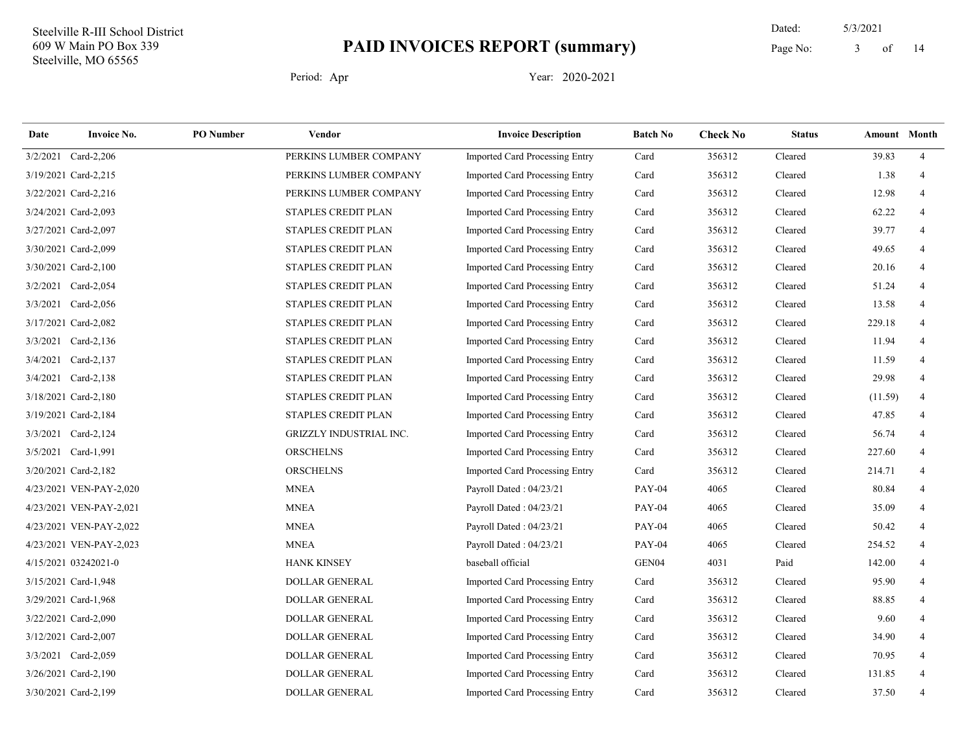14 Dated: 5/3/2021 Page No: 3 of

| Date     | <b>Invoice No.</b>      | <b>PO</b> Number | Vendor                     | <b>Invoice Description</b>            | <b>Batch No</b>   | <b>Check No</b> | <b>Status</b> | Amount Month |                |
|----------|-------------------------|------------------|----------------------------|---------------------------------------|-------------------|-----------------|---------------|--------------|----------------|
| 3/2/2021 | Card-2,206              |                  | PERKINS LUMBER COMPANY     | <b>Imported Card Processing Entry</b> | Card              | 356312          | Cleared       | 39.83        | $\overline{4}$ |
|          | 3/19/2021 Card-2,215    |                  | PERKINS LUMBER COMPANY     | <b>Imported Card Processing Entry</b> | Card              | 356312          | Cleared       | 1.38         | $\overline{4}$ |
|          | 3/22/2021 Card-2,216    |                  | PERKINS LUMBER COMPANY     | <b>Imported Card Processing Entry</b> | Card              | 356312          | Cleared       | 12.98        | 4              |
|          | 3/24/2021 Card-2,093    |                  | STAPLES CREDIT PLAN        | Imported Card Processing Entry        | Card              | 356312          | Cleared       | 62.22        | 4              |
|          | 3/27/2021 Card-2,097    |                  | STAPLES CREDIT PLAN        | Imported Card Processing Entry        | Card              | 356312          | Cleared       | 39.77        | 4              |
|          | 3/30/2021 Card-2,099    |                  | <b>STAPLES CREDIT PLAN</b> | <b>Imported Card Processing Entry</b> | Card              | 356312          | Cleared       | 49.65        | 4              |
|          | 3/30/2021 Card-2,100    |                  | STAPLES CREDIT PLAN        | Imported Card Processing Entry        | Card              | 356312          | Cleared       | 20.16        | 4              |
|          | 3/2/2021 Card-2,054     |                  | STAPLES CREDIT PLAN        | Imported Card Processing Entry        | Card              | 356312          | Cleared       | 51.24        |                |
|          | 3/3/2021 Card-2,056     |                  | STAPLES CREDIT PLAN        | Imported Card Processing Entry        | Card              | 356312          | Cleared       | 13.58        |                |
|          | 3/17/2021 Card-2,082    |                  | STAPLES CREDIT PLAN        | <b>Imported Card Processing Entry</b> | Card              | 356312          | Cleared       | 229.18       | 4              |
|          | 3/3/2021 Card-2,136     |                  | STAPLES CREDIT PLAN        | Imported Card Processing Entry        | Card              | 356312          | Cleared       | 11.94        | $\overline{4}$ |
| 3/4/2021 | $Card-2,137$            |                  | STAPLES CREDIT PLAN        | Imported Card Processing Entry        | Card              | 356312          | Cleared       | 11.59        | 4              |
|          | 3/4/2021 Card-2,138     |                  | STAPLES CREDIT PLAN        | <b>Imported Card Processing Entry</b> | Card              | 356312          | Cleared       | 29.98        | 4              |
|          | 3/18/2021 Card-2,180    |                  | STAPLES CREDIT PLAN        | Imported Card Processing Entry        | Card              | 356312          | Cleared       | (11.59)      | $\overline{4}$ |
|          | 3/19/2021 Card-2,184    |                  | STAPLES CREDIT PLAN        | Imported Card Processing Entry        | Card              | 356312          | Cleared       | 47.85        | 4              |
|          | 3/3/2021 Card-2,124     |                  | GRIZZLY INDUSTRIAL INC.    | Imported Card Processing Entry        | Card              | 356312          | Cleared       | 56.74        | 4              |
|          | 3/5/2021 Card-1,991     |                  | <b>ORSCHELNS</b>           | Imported Card Processing Entry        | Card              | 356312          | Cleared       | 227.60       | 4              |
|          | 3/20/2021 Card-2,182    |                  | <b>ORSCHELNS</b>           | Imported Card Processing Entry        | Card              | 356312          | Cleared       | 214.71       | 4              |
|          | 4/23/2021 VEN-PAY-2,020 |                  | <b>MNEA</b>                | Payroll Dated: 04/23/21               | <b>PAY-04</b>     | 4065            | Cleared       | 80.84        |                |
|          | 4/23/2021 VEN-PAY-2,021 |                  | <b>MNEA</b>                | Payroll Dated: 04/23/21               | <b>PAY-04</b>     | 4065            | Cleared       | 35.09        | 4              |
|          | 4/23/2021 VEN-PAY-2,022 |                  | <b>MNEA</b>                | Payroll Dated: 04/23/21               | <b>PAY-04</b>     | 4065            | Cleared       | 50.42        | 4              |
|          | 4/23/2021 VEN-PAY-2,023 |                  | <b>MNEA</b>                | Payroll Dated: 04/23/21               | <b>PAY-04</b>     | 4065            | Cleared       | 254.52       | 4              |
|          | 4/15/2021 03242021-0    |                  | <b>HANK KINSEY</b>         | baseball official                     | GEN <sub>04</sub> | 4031            | Paid          | 142.00       |                |
|          | 3/15/2021 Card-1,948    |                  | <b>DOLLAR GENERAL</b>      | <b>Imported Card Processing Entry</b> | Card              | 356312          | Cleared       | 95.90        |                |
|          | 3/29/2021 Card-1,968    |                  | <b>DOLLAR GENERAL</b>      | <b>Imported Card Processing Entry</b> | Card              | 356312          | Cleared       | 88.85        | 4              |
|          | 3/22/2021 Card-2,090    |                  | DOLLAR GENERAL             | Imported Card Processing Entry        | Card              | 356312          | Cleared       | 9.60         | 4              |
|          | 3/12/2021 Card-2,007    |                  | DOLLAR GENERAL             | Imported Card Processing Entry        | Card              | 356312          | Cleared       | 34.90        | 4              |
|          | 3/3/2021 Card-2,059     |                  | <b>DOLLAR GENERAL</b>      | Imported Card Processing Entry        | Card              | 356312          | Cleared       | 70.95        | 4              |
|          | 3/26/2021 Card-2,190    |                  | <b>DOLLAR GENERAL</b>      | Imported Card Processing Entry        | Card              | 356312          | Cleared       | 131.85       | 4              |
|          | 3/30/2021 Card-2,199    |                  | <b>DOLLAR GENERAL</b>      | Imported Card Processing Entry        | Card              | 356312          | Cleared       | 37.50        | $\overline{4}$ |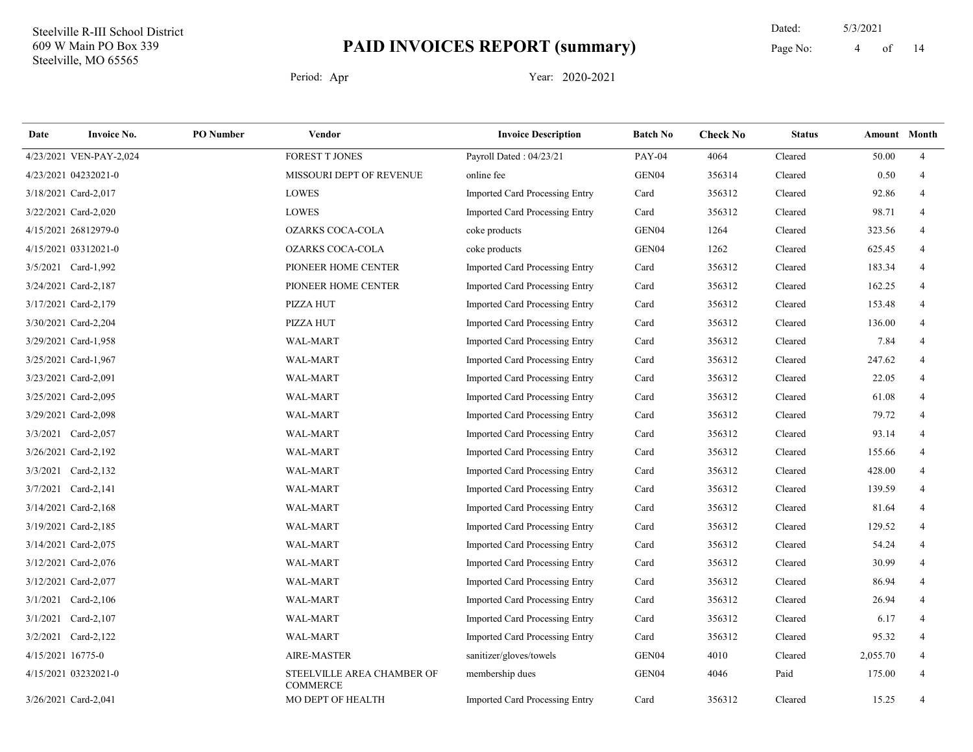14 Dated: 5/3/2021 Page No: 4 of

| Date              | <b>Invoice No.</b>      | <b>PO</b> Number | Vendor                                        | <b>Invoice Description</b>            | <b>Batch No</b> | <b>Check No</b> | <b>Status</b> | <b>Amount</b> Month |                |
|-------------------|-------------------------|------------------|-----------------------------------------------|---------------------------------------|-----------------|-----------------|---------------|---------------------|----------------|
|                   | 4/23/2021 VEN-PAY-2,024 |                  | <b>FOREST T JONES</b>                         | Payroll Dated: 04/23/21               | <b>PAY-04</b>   | 4064            | Cleared       | 50.00               | $\overline{4}$ |
|                   | 4/23/2021 04232021-0    |                  | MISSOURI DEPT OF REVENUE                      | online fee                            | GEN04           | 356314          | Cleared       | 0.50                | $\overline{4}$ |
|                   | 3/18/2021 Card-2,017    |                  | LOWES                                         | Imported Card Processing Entry        | Card            | 356312          | Cleared       | 92.86               | $\overline{4}$ |
|                   | 3/22/2021 Card-2,020    |                  | <b>LOWES</b>                                  | <b>Imported Card Processing Entry</b> | Card            | 356312          | Cleared       | 98.71               | $\overline{4}$ |
|                   | 4/15/2021 26812979-0    |                  | <b>OZARKS COCA-COLA</b>                       | coke products                         | GEN04           | 1264            | Cleared       | 323.56              | 4              |
|                   | 4/15/2021 03312021-0    |                  | <b>OZARKS COCA-COLA</b>                       | coke products                         | GEN04           | 1262            | Cleared       | 625.45              | $\overline{4}$ |
|                   | 3/5/2021 Card-1,992     |                  | PIONEER HOME CENTER                           | Imported Card Processing Entry        | Card            | 356312          | Cleared       | 183.34              | $\overline{4}$ |
|                   | 3/24/2021 Card-2,187    |                  | PIONEER HOME CENTER                           | Imported Card Processing Entry        | Card            | 356312          | Cleared       | 162.25              | $\overline{4}$ |
|                   | 3/17/2021 Card-2,179    |                  | PIZZA HUT                                     | Imported Card Processing Entry        | Card            | 356312          | Cleared       | 153.48              | 4              |
|                   | 3/30/2021 Card-2,204    |                  | PIZZA HUT                                     | <b>Imported Card Processing Entry</b> | Card            | 356312          | Cleared       | 136.00              | $\overline{4}$ |
|                   | 3/29/2021 Card-1,958    |                  | WAL-MART                                      | <b>Imported Card Processing Entry</b> | Card            | 356312          | Cleared       | 7.84                | $\overline{4}$ |
|                   | 3/25/2021 Card-1,967    |                  | WAL-MART                                      | Imported Card Processing Entry        | Card            | 356312          | Cleared       | 247.62              | $\overline{4}$ |
|                   | 3/23/2021 Card-2,091    |                  | <b>WAL-MART</b>                               | Imported Card Processing Entry        | Card            | 356312          | Cleared       | 22.05               | $\overline{4}$ |
|                   | 3/25/2021 Card-2,095    |                  | WAL-MART                                      | Imported Card Processing Entry        | Card            | 356312          | Cleared       | 61.08               | $\overline{4}$ |
|                   | 3/29/2021 Card-2,098    |                  | WAL-MART                                      | <b>Imported Card Processing Entry</b> | Card            | 356312          | Cleared       | 79.72               | $\overline{4}$ |
|                   | 3/3/2021 Card-2,057     |                  | WAL-MART                                      | Imported Card Processing Entry        | Card            | 356312          | Cleared       | 93.14               | $\overline{4}$ |
|                   | 3/26/2021 Card-2,192    |                  | WAL-MART                                      | Imported Card Processing Entry        | Card            | 356312          | Cleared       | 155.66              | $\overline{4}$ |
|                   | 3/3/2021 Card-2,132     |                  | WAL-MART                                      | Imported Card Processing Entry        | Card            | 356312          | Cleared       | 428.00              | 4              |
|                   | 3/7/2021 Card-2,141     |                  | <b>WAL-MART</b>                               | Imported Card Processing Entry        | Card            | 356312          | Cleared       | 139.59              | $\overline{4}$ |
|                   | 3/14/2021 Card-2,168    |                  | WAL-MART                                      | <b>Imported Card Processing Entry</b> | Card            | 356312          | Cleared       | 81.64               | $\overline{4}$ |
|                   | 3/19/2021 Card-2,185    |                  | WAL-MART                                      | Imported Card Processing Entry        | Card            | 356312          | Cleared       | 129.52              | $\overline{4}$ |
|                   | 3/14/2021 Card-2,075    |                  | WAL-MART                                      | Imported Card Processing Entry        | Card            | 356312          | Cleared       | 54.24               | $\overline{4}$ |
|                   | 3/12/2021 Card-2,076    |                  | WAL-MART                                      | Imported Card Processing Entry        | Card            | 356312          | Cleared       | 30.99               | $\overline{4}$ |
|                   | 3/12/2021 Card-2,077    |                  | WAL-MART                                      | Imported Card Processing Entry        | Card            | 356312          | Cleared       | 86.94               | $\overline{4}$ |
|                   | 3/1/2021 Card-2,106     |                  | WAL-MART                                      | Imported Card Processing Entry        | Card            | 356312          | Cleared       | 26.94               | 4              |
|                   | 3/1/2021 Card-2,107     |                  | WAL-MART                                      | <b>Imported Card Processing Entry</b> | Card            | 356312          | Cleared       | 6.17                | $\overline{4}$ |
|                   | 3/2/2021 Card-2,122     |                  | WAL-MART                                      | Imported Card Processing Entry        | Card            | 356312          | Cleared       | 95.32               | $\overline{4}$ |
| 4/15/2021 16775-0 |                         |                  | <b>AIRE-MASTER</b>                            | sanitizer/gloves/towels               | GEN04           | 4010            | Cleared       | 2,055.70            | $\overline{4}$ |
|                   | 4/15/2021 03232021-0    |                  | STEELVILLE AREA CHAMBER OF<br><b>COMMERCE</b> | membership dues                       | GEN04           | 4046            | Paid          | 175.00              | $\overline{4}$ |
|                   | 3/26/2021 Card-2,041    |                  | MO DEPT OF HEALTH                             | <b>Imported Card Processing Entry</b> | Card            | 356312          | Cleared       | 15.25               | $\overline{4}$ |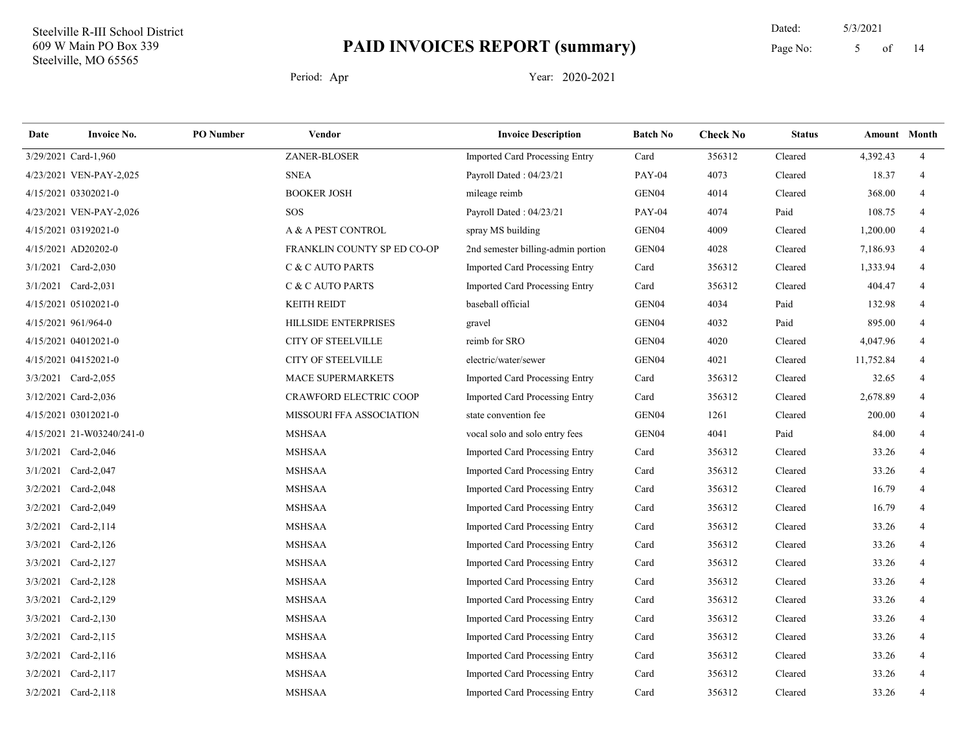14 Dated: 5/3/2021 Page No: 5 of

| Date     | <b>Invoice No.</b>        | <b>PO</b> Number | <b>Vendor</b>                 | <b>Invoice Description</b>            | <b>Batch No</b>   | <b>Check No</b> | <b>Status</b> | Amount Month |                |
|----------|---------------------------|------------------|-------------------------------|---------------------------------------|-------------------|-----------------|---------------|--------------|----------------|
|          | 3/29/2021 Card-1,960      |                  | ZANER-BLOSER                  | <b>Imported Card Processing Entry</b> | Card              | 356312          | Cleared       | 4,392.43     | $\overline{4}$ |
|          | 4/23/2021 VEN-PAY-2,025   |                  | <b>SNEA</b>                   | Payroll Dated: 04/23/21               | <b>PAY-04</b>     | 4073            | Cleared       | 18.37        | $\overline{4}$ |
|          | 4/15/2021 03302021-0      |                  | <b>BOOKER JOSH</b>            | mileage reimb                         | GEN04             | 4014            | Cleared       | 368.00       | 4              |
|          | 4/23/2021 VEN-PAY-2,026   |                  | <b>SOS</b>                    | Payroll Dated: 04/23/21               | <b>PAY-04</b>     | 4074            | Paid          | 108.75       | 4              |
|          | 4/15/2021 03192021-0      |                  | A & A PEST CONTROL            | spray MS building                     | GEN04             | 4009            | Cleared       | 1,200.00     | 4              |
|          | 4/15/2021 AD20202-0       |                  | FRANKLIN COUNTY SP ED CO-OP   | 2nd semester billing-admin portion    | GEN <sub>04</sub> | 4028            | Cleared       | 7,186.93     | $\overline{4}$ |
|          | 3/1/2021 Card-2,030       |                  | C & C AUTO PARTS              | Imported Card Processing Entry        | Card              | 356312          | Cleared       | 1,333.94     | 4              |
|          | 3/1/2021 Card-2,031       |                  | C & C AUTO PARTS              | Imported Card Processing Entry        | Card              | 356312          | Cleared       | 404.47       | 4              |
|          | 4/15/2021 05102021-0      |                  | <b>KEITH REIDT</b>            | baseball official                     | GEN <sub>04</sub> | 4034            | Paid          | 132.98       | 4              |
|          | 4/15/2021 961/964-0       |                  | <b>HILLSIDE ENTERPRISES</b>   | gravel                                | GEN04             | 4032            | Paid          | 895.00       | 4              |
|          | 4/15/2021 04012021-0      |                  | <b>CITY OF STEELVILLE</b>     | reimb for SRO                         | GEN04             | 4020            | Cleared       | 4,047.96     | 4              |
|          | 4/15/2021 04152021-0      |                  | <b>CITY OF STEELVILLE</b>     | electric/water/sewer                  | GEN <sub>04</sub> | 4021            | Cleared       | 11,752.84    | 4              |
|          | 3/3/2021 Card-2,055       |                  | <b>MACE SUPERMARKETS</b>      | Imported Card Processing Entry        | Card              | 356312          | Cleared       | 32.65        | 4              |
|          | 3/12/2021 Card-2,036      |                  | <b>CRAWFORD ELECTRIC COOP</b> | Imported Card Processing Entry        | Card              | 356312          | Cleared       | 2,678.89     |                |
|          | 4/15/2021 03012021-0      |                  | MISSOURI FFA ASSOCIATION      | state convention fee                  | GEN04             | 1261            | Cleared       | 200.00       | 4              |
|          | 4/15/2021 21-W03240/241-0 |                  | <b>MSHSAA</b>                 | vocal solo and solo entry fees        | GEN <sub>04</sub> | 4041            | Paid          | 84.00        | $\overline{4}$ |
|          | $3/1/2021$ Card-2,046     |                  | <b>MSHSAA</b>                 | <b>Imported Card Processing Entry</b> | Card              | 356312          | Cleared       | 33.26        | 4              |
| 3/1/2021 | $Card-2,047$              |                  | <b>MSHSAA</b>                 | Imported Card Processing Entry        | Card              | 356312          | Cleared       | 33.26        | 4              |
| 3/2/2021 | $Card-2,048$              |                  | <b>MSHSAA</b>                 | Imported Card Processing Entry        | Card              | 356312          | Cleared       | 16.79        | $\overline{4}$ |
| 3/2/2021 | Card-2,049                |                  | <b>MSHSAA</b>                 | <b>Imported Card Processing Entry</b> | Card              | 356312          | Cleared       | 16.79        | 4              |
| 3/2/2021 | Card-2,114                |                  | <b>MSHSAA</b>                 | Imported Card Processing Entry        | Card              | 356312          | Cleared       | 33.26        | $\overline{4}$ |
| 3/3/2021 | $Card-2,126$              |                  | <b>MSHSAA</b>                 | Imported Card Processing Entry        | Card              | 356312          | Cleared       | 33.26        | 4              |
| 3/3/2021 | Card-2,127                |                  | <b>MSHSAA</b>                 | Imported Card Processing Entry        | Card              | 356312          | Cleared       | 33.26        | 4              |
| 3/3/2021 | $Card-2,128$              |                  | <b>MSHSAA</b>                 | Imported Card Processing Entry        | Card              | 356312          | Cleared       | 33.26        | $\overline{4}$ |
| 3/3/2021 | Card-2,129                |                  | <b>MSHSAA</b>                 | Imported Card Processing Entry        | Card              | 356312          | Cleared       | 33.26        | 4              |
| 3/3/2021 | $Card-2,130$              |                  | <b>MSHSAA</b>                 | <b>Imported Card Processing Entry</b> | Card              | 356312          | Cleared       | 33.26        | 4              |
| 3/2/2021 | Card-2,115                |                  | <b>MSHSAA</b>                 | Imported Card Processing Entry        | Card              | 356312          | Cleared       | 33.26        | $\overline{4}$ |
| 3/2/2021 | Card-2,116                |                  | <b>MSHSAA</b>                 | Imported Card Processing Entry        | Card              | 356312          | Cleared       | 33.26        | 4              |
| 3/2/2021 | Card-2,117                |                  | <b>MSHSAA</b>                 | Imported Card Processing Entry        | Card              | 356312          | Cleared       | 33.26        | 4              |
|          | 3/2/2021 Card-2,118       |                  | <b>MSHSAA</b>                 | Imported Card Processing Entry        | Card              | 356312          | Cleared       | 33.26        | 4              |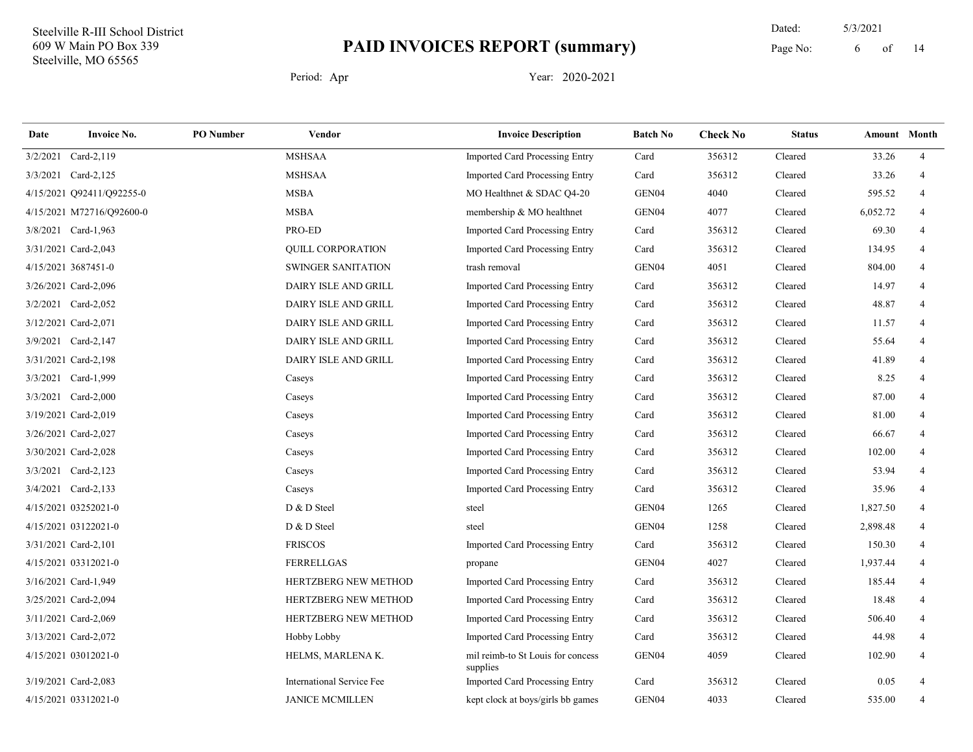14 Dated: 5/3/2021 Page No: 6 of

| Date     | <b>Invoice No.</b>        | <b>PO</b> Number | Vendor                           | <b>Invoice Description</b>                    | <b>Batch No</b>   | <b>Check No</b> | <b>Status</b> | <b>Amount</b> Month |                |
|----------|---------------------------|------------------|----------------------------------|-----------------------------------------------|-------------------|-----------------|---------------|---------------------|----------------|
| 3/2/2021 | Card-2,119                |                  | <b>MSHSAA</b>                    | Imported Card Processing Entry                | Card              | 356312          | Cleared       | 33.26               | $\overline{4}$ |
|          | 3/3/2021 Card-2,125       |                  | <b>MSHSAA</b>                    | Imported Card Processing Entry                | Card              | 356312          | Cleared       | 33.26               | $\overline{4}$ |
|          | 4/15/2021 Q92411/Q92255-0 |                  | <b>MSBA</b>                      | MO Healthnet & SDAC Q4-20                     | GEN <sub>04</sub> | 4040            | Cleared       | 595.52              | 4              |
|          | 4/15/2021 M72716/Q92600-0 |                  | <b>MSBA</b>                      | membership & MO healthnet                     | GEN04             | 4077            | Cleared       | 6,052.72            | 4              |
|          | 3/8/2021 Card-1,963       |                  | PRO-ED                           | Imported Card Processing Entry                | Card              | 356312          | Cleared       | 69.30               | 4              |
|          | 3/31/2021 Card-2,043      |                  | QUILL CORPORATION                | Imported Card Processing Entry                | Card              | 356312          | Cleared       | 134.95              | 4              |
|          | 4/15/2021 3687451-0       |                  | SWINGER SANITATION               | trash removal                                 | GEN04             | 4051            | Cleared       | 804.00              | $\overline{4}$ |
|          | 3/26/2021 Card-2,096      |                  | DAIRY ISLE AND GRILL             | Imported Card Processing Entry                | Card              | 356312          | Cleared       | 14.97               | $\overline{4}$ |
|          | 3/2/2021 Card-2,052       |                  | DAIRY ISLE AND GRILL             | Imported Card Processing Entry                | Card              | 356312          | Cleared       | 48.87               | 4              |
|          | 3/12/2021 Card-2,071      |                  | DAIRY ISLE AND GRILL             | Imported Card Processing Entry                | Card              | 356312          | Cleared       | 11.57               | $\overline{4}$ |
|          | 3/9/2021 Card-2,147       |                  | DAIRY ISLE AND GRILL             | Imported Card Processing Entry                | Card              | 356312          | Cleared       | 55.64               | 4              |
|          | 3/31/2021 Card-2,198      |                  | DAIRY ISLE AND GRILL             | Imported Card Processing Entry                | Card              | 356312          | Cleared       | 41.89               | $\overline{4}$ |
|          | 3/3/2021 Card-1,999       |                  | Caseys                           | Imported Card Processing Entry                | Card              | 356312          | Cleared       | 8.25                | $\overline{4}$ |
|          | 3/3/2021 Card-2,000       |                  | Caseys                           | Imported Card Processing Entry                | Card              | 356312          | Cleared       | 87.00               | 4              |
|          | 3/19/2021 Card-2,019      |                  | Caseys                           | Imported Card Processing Entry                | Card              | 356312          | Cleared       | 81.00               | $\overline{4}$ |
|          | 3/26/2021 Card-2,027      |                  | Caseys                           | Imported Card Processing Entry                | Card              | 356312          | Cleared       | 66.67               | 4              |
|          | 3/30/2021 Card-2,028      |                  | Caseys                           | Imported Card Processing Entry                | Card              | 356312          | Cleared       | 102.00              | 4              |
|          | 3/3/2021 Card-2,123       |                  | Caseys                           | Imported Card Processing Entry                | Card              | 356312          | Cleared       | 53.94               | 4              |
|          | 3/4/2021 Card-2,133       |                  | Caseys                           | Imported Card Processing Entry                | Card              | 356312          | Cleared       | 35.96               | 4              |
|          | 4/15/2021 03252021-0      |                  | D & D Steel                      | steel                                         | GEN04             | 1265            | Cleared       | 1,827.50            | 4              |
|          | 4/15/2021 03122021-0      |                  | D & D Steel                      | steel                                         | GEN <sub>04</sub> | 1258            | Cleared       | 2,898.48            | 4              |
|          | 3/31/2021 Card-2,101      |                  | <b>FRISCOS</b>                   | Imported Card Processing Entry                | Card              | 356312          | Cleared       | 150.30              | 4              |
|          | 4/15/2021 03312021-0      |                  | <b>FERRELLGAS</b>                | propane                                       | GEN04             | 4027            | Cleared       | 1,937.44            | $\overline{4}$ |
|          | 3/16/2021 Card-1,949      |                  | HERTZBERG NEW METHOD             | Imported Card Processing Entry                | Card              | 356312          | Cleared       | 185.44              | 4              |
|          | 3/25/2021 Card-2,094      |                  | HERTZBERG NEW METHOD             | Imported Card Processing Entry                | Card              | 356312          | Cleared       | 18.48               | 4              |
|          | 3/11/2021 Card-2,069      |                  | HERTZBERG NEW METHOD             | Imported Card Processing Entry                | Card              | 356312          | Cleared       | 506.40              | 4              |
|          | 3/13/2021 Card-2,072      |                  | Hobby Lobby                      | <b>Imported Card Processing Entry</b>         | Card              | 356312          | Cleared       | 44.98               | 4              |
|          | 4/15/2021 03012021-0      |                  | HELMS, MARLENA K.                | mil reimb-to St Louis for concess<br>supplies | GEN <sub>04</sub> | 4059            | Cleared       | 102.90              | 4              |
|          | 3/19/2021 Card-2,083      |                  | <b>International Service Fee</b> | Imported Card Processing Entry                | Card              | 356312          | Cleared       | 0.05                | 4              |
|          | 4/15/2021 03312021-0      |                  | <b>JANICE MCMILLEN</b>           | kept clock at boys/girls bb games             | GEN <sub>04</sub> | 4033            | Cleared       | 535.00              | 4              |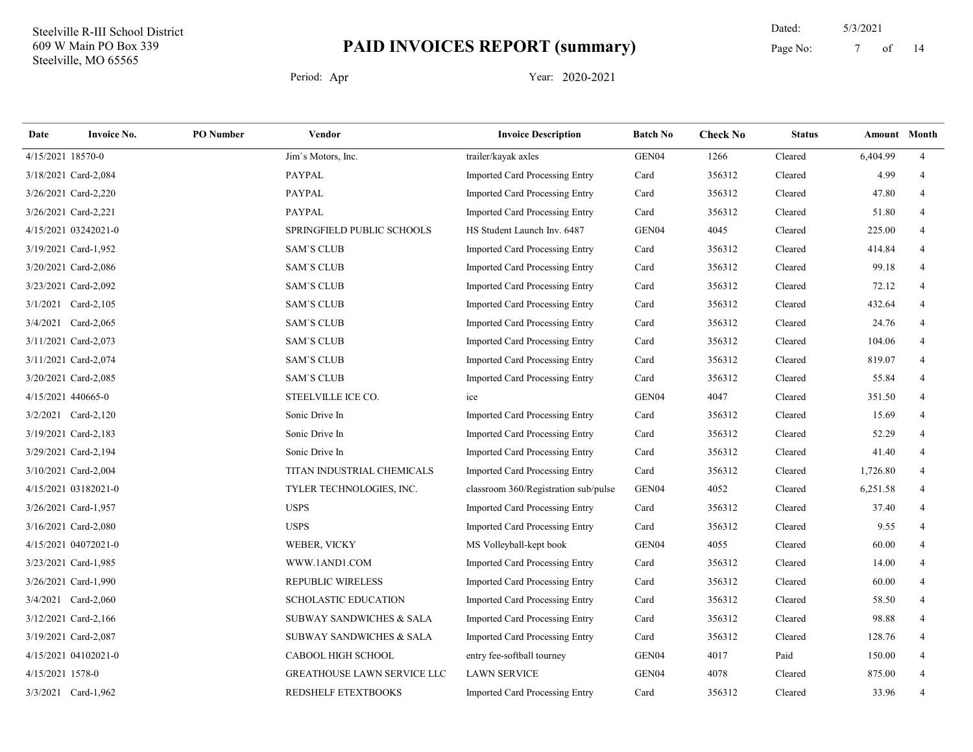14 Dated: 5/3/2021 Page No: 7 of

| Date              | <b>Invoice No.</b>   | <b>PO</b> Number | Vendor                              | <b>Invoice Description</b>            | <b>Batch No</b> | <b>Check No</b> | <b>Status</b> | <b>Amount</b> Month |                |
|-------------------|----------------------|------------------|-------------------------------------|---------------------------------------|-----------------|-----------------|---------------|---------------------|----------------|
| 4/15/2021 18570-0 |                      |                  | Jim's Motors, Inc.                  | trailer/kayak axles                   | GEN04           | 1266            | Cleared       | 6,404.99            | $\overline{4}$ |
|                   | 3/18/2021 Card-2,084 |                  | PAYPAL                              | Imported Card Processing Entry        | Card            | 356312          | Cleared       | 4.99                | 4              |
|                   | 3/26/2021 Card-2,220 |                  | <b>PAYPAL</b>                       | <b>Imported Card Processing Entry</b> | Card            | 356312          | Cleared       | 47.80               | $\overline{4}$ |
|                   | 3/26/2021 Card-2,221 |                  | <b>PAYPAL</b>                       | Imported Card Processing Entry        | Card            | 356312          | Cleared       | 51.80               | $\overline{4}$ |
|                   | 4/15/2021 03242021-0 |                  | SPRINGFIELD PUBLIC SCHOOLS          | HS Student Launch Inv. 6487           | GEN04           | 4045            | Cleared       | 225.00              | $\overline{4}$ |
|                   | 3/19/2021 Card-1,952 |                  | <b>SAM'S CLUB</b>                   | Imported Card Processing Entry        | Card            | 356312          | Cleared       | 414.84              | $\overline{4}$ |
|                   | 3/20/2021 Card-2,086 |                  | <b>SAM'S CLUB</b>                   | Imported Card Processing Entry        | Card            | 356312          | Cleared       | 99.18               | 4              |
|                   | 3/23/2021 Card-2,092 |                  | <b>SAM'S CLUB</b>                   | Imported Card Processing Entry        | Card            | 356312          | Cleared       | 72.12               | 4              |
|                   | 3/1/2021 Card-2,105  |                  | <b>SAM'S CLUB</b>                   | Imported Card Processing Entry        | Card            | 356312          | Cleared       | 432.64              | $\overline{4}$ |
|                   | 3/4/2021 Card-2,065  |                  | <b>SAM'S CLUB</b>                   | Imported Card Processing Entry        | Card            | 356312          | Cleared       | 24.76               | $\overline{4}$ |
|                   | 3/11/2021 Card-2,073 |                  | <b>SAM'S CLUB</b>                   | Imported Card Processing Entry        | Card            | 356312          | Cleared       | 104.06              | $\overline{4}$ |
|                   | 3/11/2021 Card-2,074 |                  | <b>SAM'S CLUB</b>                   | Imported Card Processing Entry        | Card            | 356312          | Cleared       | 819.07              | $\overline{4}$ |
|                   | 3/20/2021 Card-2,085 |                  | <b>SAM'S CLUB</b>                   | Imported Card Processing Entry        | Card            | 356312          | Cleared       | 55.84               | $\overline{4}$ |
|                   | 4/15/2021 440665-0   |                  | STEELVILLE ICE CO.                  | ice                                   | GEN04           | 4047            | Cleared       | 351.50              | $\overline{4}$ |
|                   | 3/2/2021 Card-2,120  |                  | Sonic Drive In                      | Imported Card Processing Entry        | Card            | 356312          | Cleared       | 15.69               | $\overline{4}$ |
|                   | 3/19/2021 Card-2,183 |                  | Sonic Drive In                      | Imported Card Processing Entry        | Card            | 356312          | Cleared       | 52.29               | $\overline{4}$ |
|                   | 3/29/2021 Card-2,194 |                  | Sonic Drive In                      | <b>Imported Card Processing Entry</b> | Card            | 356312          | Cleared       | 41.40               | 4              |
|                   | 3/10/2021 Card-2,004 |                  | TITAN INDUSTRIAL CHEMICALS          | Imported Card Processing Entry        | Card            | 356312          | Cleared       | 1,726.80            | $\overline{4}$ |
|                   | 4/15/2021 03182021-0 |                  | TYLER TECHNOLOGIES, INC.            | classroom 360/Registration sub/pulse  | GEN04           | 4052            | Cleared       | 6,251.58            | $\overline{4}$ |
|                   | 3/26/2021 Card-1,957 |                  | <b>USPS</b>                         | Imported Card Processing Entry        | Card            | 356312          | Cleared       | 37.40               | $\overline{4}$ |
|                   | 3/16/2021 Card-2,080 |                  | <b>USPS</b>                         | Imported Card Processing Entry        | Card            | 356312          | Cleared       | 9.55                | $\overline{4}$ |
|                   | 4/15/2021 04072021-0 |                  | WEBER, VICKY                        | MS Volleyball-kept book               | GEN04           | 4055            | Cleared       | 60.00               | $\overline{4}$ |
|                   | 3/23/2021 Card-1,985 |                  | WWW.1AND1.COM                       | Imported Card Processing Entry        | Card            | 356312          | Cleared       | 14.00               | $\overline{4}$ |
|                   | 3/26/2021 Card-1,990 |                  | <b>REPUBLIC WIRELESS</b>            | Imported Card Processing Entry        | Card            | 356312          | Cleared       | 60.00               | $\overline{4}$ |
|                   | 3/4/2021 Card-2,060  |                  | <b>SCHOLASTIC EDUCATION</b>         | Imported Card Processing Entry        | Card            | 356312          | Cleared       | 58.50               | $\overline{4}$ |
|                   | 3/12/2021 Card-2,166 |                  | SUBWAY SANDWICHES & SALA            | Imported Card Processing Entry        | Card            | 356312          | Cleared       | 98.88               | $\overline{4}$ |
|                   | 3/19/2021 Card-2,087 |                  | <b>SUBWAY SANDWICHES &amp; SALA</b> | Imported Card Processing Entry        | Card            | 356312          | Cleared       | 128.76              | $\overline{4}$ |
|                   | 4/15/2021 04102021-0 |                  | CABOOL HIGH SCHOOL                  | entry fee-softball tourney            | GEN04           | 4017            | Paid          | 150.00              | $\overline{4}$ |
| 4/15/2021 1578-0  |                      |                  | <b>GREATHOUSE LAWN SERVICE LLC</b>  | <b>LAWN SERVICE</b>                   | GEN04           | 4078            | Cleared       | 875.00              | $\overline{4}$ |
|                   | 3/3/2021 Card-1,962  |                  | REDSHELF ETEXTBOOKS                 | Imported Card Processing Entry        | Card            | 356312          | Cleared       | 33.96               | 4              |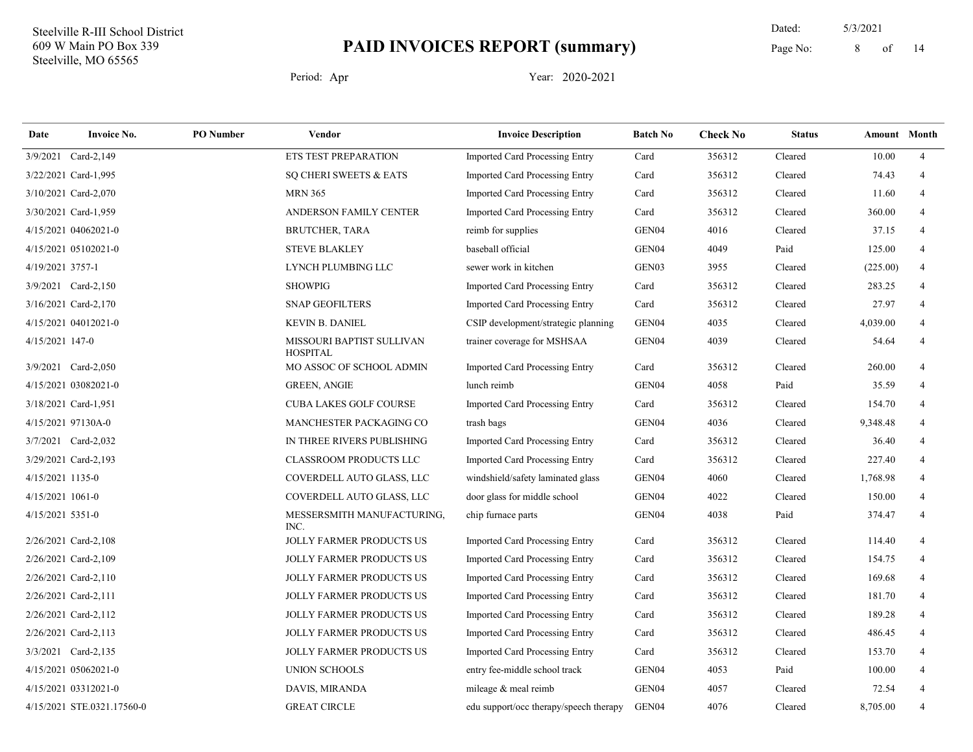14 Dated: 5/3/2021 Page No: 8 of

| Date             | <b>Invoice No.</b>         | <b>PO</b> Number | Vendor                                       | <b>Invoice Description</b>             | <b>Batch No</b>   | <b>Check No</b> | <b>Status</b> | <b>Amount</b> Month |                |
|------------------|----------------------------|------------------|----------------------------------------------|----------------------------------------|-------------------|-----------------|---------------|---------------------|----------------|
|                  | 3/9/2021 Card-2,149        |                  | ETS TEST PREPARATION                         | <b>Imported Card Processing Entry</b>  | Card              | 356312          | Cleared       | 10.00               | $\overline{4}$ |
|                  | 3/22/2021 Card-1,995       |                  | SQ CHERI SWEETS & EATS                       | <b>Imported Card Processing Entry</b>  | Card              | 356312          | Cleared       | 74.43               | $\overline{4}$ |
|                  | 3/10/2021 Card-2,070       |                  | <b>MRN 365</b>                               | <b>Imported Card Processing Entry</b>  | Card              | 356312          | Cleared       | 11.60               | 4              |
|                  | 3/30/2021 Card-1,959       |                  | ANDERSON FAMILY CENTER                       | <b>Imported Card Processing Entry</b>  | Card              | 356312          | Cleared       | 360.00              | 4              |
|                  | 4/15/2021 04062021-0       |                  | <b>BRUTCHER, TARA</b>                        | reimb for supplies                     | GEN04             | 4016            | Cleared       | 37.15               | $\overline{4}$ |
|                  | 4/15/2021 05102021-0       |                  | <b>STEVE BLAKLEY</b>                         | baseball official                      | GEN04             | 4049            | Paid          | 125.00              | 4              |
| 4/19/2021 3757-1 |                            |                  | LYNCH PLUMBING LLC                           | sewer work in kitchen                  | GEN03             | 3955            | Cleared       | (225.00)            | $\overline{4}$ |
|                  | 3/9/2021 Card-2,150        |                  | <b>SHOWPIG</b>                               | Imported Card Processing Entry         | Card              | 356312          | Cleared       | 283.25              | $\overline{4}$ |
|                  | 3/16/2021 Card-2,170       |                  | <b>SNAP GEOFILTERS</b>                       | <b>Imported Card Processing Entry</b>  | Card              | 356312          | Cleared       | 27.97               | 4              |
|                  | 4/15/2021 04012021-0       |                  | <b>KEVIN B. DANIEL</b>                       | CSIP development/strategic planning    | GEN04             | 4035            | Cleared       | 4,039.00            | 4              |
| 4/15/2021 147-0  |                            |                  | MISSOURI BAPTIST SULLIVAN<br><b>HOSPITAL</b> | trainer coverage for MSHSAA            | GEN04             | 4039            | Cleared       | 54.64               | 4              |
|                  | 3/9/2021 Card-2,050        |                  | MO ASSOC OF SCHOOL ADMIN                     | <b>Imported Card Processing Entry</b>  | Card              | 356312          | Cleared       | 260.00              | 4              |
|                  | 4/15/2021 03082021-0       |                  | <b>GREEN, ANGIE</b>                          | lunch reimb                            | GEN04             | 4058            | Paid          | 35.59               | 4              |
|                  | 3/18/2021 Card-1,951       |                  | <b>CUBA LAKES GOLF COURSE</b>                | Imported Card Processing Entry         | Card              | 356312          | Cleared       | 154.70              | 4              |
|                  | 4/15/2021 97130A-0         |                  | MANCHESTER PACKAGING CO                      | trash bags                             | GEN04             | 4036            | Cleared       | 9,348.48            | 4              |
|                  | 3/7/2021 Card-2,032        |                  | IN THREE RIVERS PUBLISHING                   | <b>Imported Card Processing Entry</b>  | Card              | 356312          | Cleared       | 36.40               | $\overline{4}$ |
|                  | 3/29/2021 Card-2,193       |                  | CLASSROOM PRODUCTS LLC                       | <b>Imported Card Processing Entry</b>  | Card              | 356312          | Cleared       | 227.40              | $\overline{4}$ |
| 4/15/2021 1135-0 |                            |                  | COVERDELL AUTO GLASS, LLC                    | windshield/safety laminated glass      | GEN04             | 4060            | Cleared       | 1,768.98            |                |
| 4/15/2021 1061-0 |                            |                  | COVERDELL AUTO GLASS, LLC                    | door glass for middle school           | GEN04             | 4022            | Cleared       | 150.00              | 4              |
| 4/15/2021 5351-0 |                            |                  | MESSERSMITH MANUFACTURING,<br>INC.           | chip furnace parts                     | GEN04             | 4038            | Paid          | 374.47              | $\overline{4}$ |
|                  | 2/26/2021 Card-2,108       |                  | JOLLY FARMER PRODUCTS US                     | <b>Imported Card Processing Entry</b>  | Card              | 356312          | Cleared       | 114.40              | 4              |
|                  | 2/26/2021 Card-2,109       |                  | <b>JOLLY FARMER PRODUCTS US</b>              | <b>Imported Card Processing Entry</b>  | Card              | 356312          | Cleared       | 154.75              | $\overline{4}$ |
|                  | 2/26/2021 Card-2,110       |                  | <b>JOLLY FARMER PRODUCTS US</b>              | Imported Card Processing Entry         | Card              | 356312          | Cleared       | 169.68              | 4              |
|                  | 2/26/2021 Card-2,111       |                  | <b>JOLLY FARMER PRODUCTS US</b>              | Imported Card Processing Entry         | Card              | 356312          | Cleared       | 181.70              | $\overline{4}$ |
|                  | 2/26/2021 Card-2,112       |                  | <b>JOLLY FARMER PRODUCTS US</b>              | Imported Card Processing Entry         | Card              | 356312          | Cleared       | 189.28              | 4              |
|                  | 2/26/2021 Card-2,113       |                  | JOLLY FARMER PRODUCTS US                     | <b>Imported Card Processing Entry</b>  | Card              | 356312          | Cleared       | 486.45              | 4              |
|                  | 3/3/2021 Card-2,135        |                  | <b>JOLLY FARMER PRODUCTS US</b>              | Imported Card Processing Entry         | Card              | 356312          | Cleared       | 153.70              | 4              |
|                  | 4/15/2021 05062021-0       |                  | <b>UNION SCHOOLS</b>                         | entry fee-middle school track          | GEN04             | 4053            | Paid          | 100.00              | $\overline{4}$ |
|                  | 4/15/2021 03312021-0       |                  | DAVIS, MIRANDA                               | mileage & meal reimb                   | GEN04             | 4057            | Cleared       | 72.54               | 4              |
|                  | 4/15/2021 STE.0321.17560-0 |                  | <b>GREAT CIRCLE</b>                          | edu support/occ therapy/speech therapy | GEN <sub>04</sub> | 4076            | Cleared       | 8,705.00            | 4              |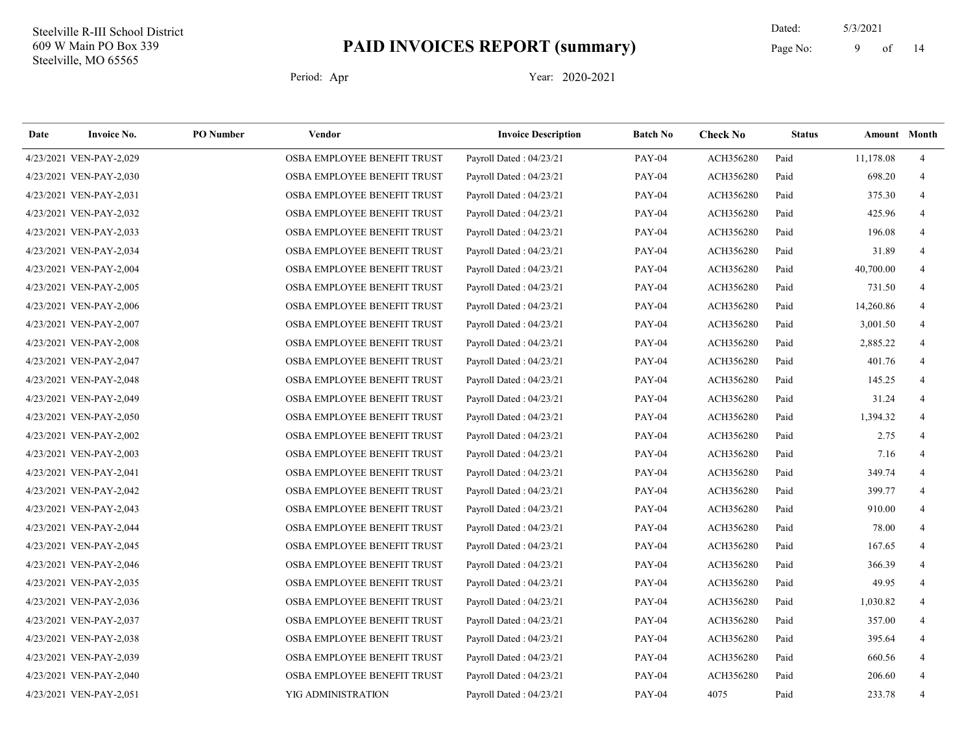14 Dated: 5/3/2021 Page No: 9 of

| Date | <b>Invoice No.</b>      | <b>PO</b> Number | Vendor                      | <b>Invoice Description</b> | <b>Batch No</b> | <b>Check No</b> | <b>Status</b> |           | <b>Amount</b> Month |
|------|-------------------------|------------------|-----------------------------|----------------------------|-----------------|-----------------|---------------|-----------|---------------------|
|      | 4/23/2021 VEN-PAY-2,029 |                  | OSBA EMPLOYEE BENEFIT TRUST | Payroll Dated: 04/23/21    | <b>PAY-04</b>   | ACH356280       | Paid          | 11,178.08 | $\overline{4}$      |
|      | 4/23/2021 VEN-PAY-2,030 |                  | OSBA EMPLOYEE BENEFIT TRUST | Payroll Dated: 04/23/21    | <b>PAY-04</b>   | ACH356280       | Paid          | 698.20    | $\overline{4}$      |
|      | 4/23/2021 VEN-PAY-2,031 |                  | OSBA EMPLOYEE BENEFIT TRUST | Payroll Dated: 04/23/21    | <b>PAY-04</b>   | ACH356280       | Paid          | 375.30    | $\overline{4}$      |
|      | 4/23/2021 VEN-PAY-2,032 |                  | OSBA EMPLOYEE BENEFIT TRUST | Payroll Dated: 04/23/21    | <b>PAY-04</b>   | ACH356280       | Paid          | 425.96    | $\overline{4}$      |
|      | 4/23/2021 VEN-PAY-2,033 |                  | OSBA EMPLOYEE BENEFIT TRUST | Payroll Dated: 04/23/21    | <b>PAY-04</b>   | ACH356280       | Paid          | 196.08    | $\overline{4}$      |
|      | 4/23/2021 VEN-PAY-2,034 |                  | OSBA EMPLOYEE BENEFIT TRUST | Payroll Dated: 04/23/21    | <b>PAY-04</b>   | ACH356280       | Paid          | 31.89     | $\overline{4}$      |
|      | 4/23/2021 VEN-PAY-2,004 |                  | OSBA EMPLOYEE BENEFIT TRUST | Payroll Dated: 04/23/21    | <b>PAY-04</b>   | ACH356280       | Paid          | 40,700.00 | $\overline{4}$      |
|      | 4/23/2021 VEN-PAY-2,005 |                  | OSBA EMPLOYEE BENEFIT TRUST | Payroll Dated: 04/23/21    | <b>PAY-04</b>   | ACH356280       | Paid          | 731.50    | $\overline{4}$      |
|      | 4/23/2021 VEN-PAY-2,006 |                  | OSBA EMPLOYEE BENEFIT TRUST | Payroll Dated: 04/23/21    | <b>PAY-04</b>   | ACH356280       | Paid          | 14,260.86 | $\overline{4}$      |
|      | 4/23/2021 VEN-PAY-2,007 |                  | OSBA EMPLOYEE BENEFIT TRUST | Payroll Dated: 04/23/21    | <b>PAY-04</b>   | ACH356280       | Paid          | 3,001.50  | $\overline{4}$      |
|      | 4/23/2021 VEN-PAY-2,008 |                  | OSBA EMPLOYEE BENEFIT TRUST | Payroll Dated: 04/23/21    | <b>PAY-04</b>   | ACH356280       | Paid          | 2,885.22  | $\overline{4}$      |
|      | 4/23/2021 VEN-PAY-2,047 |                  | OSBA EMPLOYEE BENEFIT TRUST | Payroll Dated: 04/23/21    | <b>PAY-04</b>   | ACH356280       | Paid          | 401.76    | $\overline{4}$      |
|      | 4/23/2021 VEN-PAY-2,048 |                  | OSBA EMPLOYEE BENEFIT TRUST | Payroll Dated: 04/23/21    | <b>PAY-04</b>   | ACH356280       | Paid          | 145.25    | $\overline{4}$      |
|      | 4/23/2021 VEN-PAY-2,049 |                  | OSBA EMPLOYEE BENEFIT TRUST | Payroll Dated: 04/23/21    | <b>PAY-04</b>   | ACH356280       | Paid          | 31.24     | $\overline{4}$      |
|      | 4/23/2021 VEN-PAY-2,050 |                  | OSBA EMPLOYEE BENEFIT TRUST | Payroll Dated: 04/23/21    | <b>PAY-04</b>   | ACH356280       | Paid          | 1,394.32  | $\overline{4}$      |
|      | 4/23/2021 VEN-PAY-2,002 |                  | OSBA EMPLOYEE BENEFIT TRUST | Payroll Dated: 04/23/21    | <b>PAY-04</b>   | ACH356280       | Paid          | 2.75      | $\overline{4}$      |
|      | 4/23/2021 VEN-PAY-2,003 |                  | OSBA EMPLOYEE BENEFIT TRUST | Payroll Dated: 04/23/21    | <b>PAY-04</b>   | ACH356280       | Paid          | 7.16      | $\overline{4}$      |
|      | 4/23/2021 VEN-PAY-2,041 |                  | OSBA EMPLOYEE BENEFIT TRUST | Payroll Dated: 04/23/21    | <b>PAY-04</b>   | ACH356280       | Paid          | 349.74    | $\overline{4}$      |
|      | 4/23/2021 VEN-PAY-2,042 |                  | OSBA EMPLOYEE BENEFIT TRUST | Payroll Dated: 04/23/21    | <b>PAY-04</b>   | ACH356280       | Paid          | 399.77    | $\overline{4}$      |
|      | 4/23/2021 VEN-PAY-2,043 |                  | OSBA EMPLOYEE BENEFIT TRUST | Payroll Dated: 04/23/21    | <b>PAY-04</b>   | ACH356280       | Paid          | 910.00    | $\overline{4}$      |
|      | 4/23/2021 VEN-PAY-2,044 |                  | OSBA EMPLOYEE BENEFIT TRUST | Payroll Dated: 04/23/21    | <b>PAY-04</b>   | ACH356280       | Paid          | 78.00     | $\overline{4}$      |
|      | 4/23/2021 VEN-PAY-2,045 |                  | OSBA EMPLOYEE BENEFIT TRUST | Payroll Dated: 04/23/21    | <b>PAY-04</b>   | ACH356280       | Paid          | 167.65    | $\overline{4}$      |
|      | 4/23/2021 VEN-PAY-2,046 |                  | OSBA EMPLOYEE BENEFIT TRUST | Payroll Dated: 04/23/21    | <b>PAY-04</b>   | ACH356280       | Paid          | 366.39    | $\overline{4}$      |
|      | 4/23/2021 VEN-PAY-2,035 |                  | OSBA EMPLOYEE BENEFIT TRUST | Payroll Dated: 04/23/21    | <b>PAY-04</b>   | ACH356280       | Paid          | 49.95     | $\overline{4}$      |
|      | 4/23/2021 VEN-PAY-2,036 |                  | OSBA EMPLOYEE BENEFIT TRUST | Payroll Dated: 04/23/21    | <b>PAY-04</b>   | ACH356280       | Paid          | 1,030.82  | $\overline{4}$      |
|      | 4/23/2021 VEN-PAY-2,037 |                  | OSBA EMPLOYEE BENEFIT TRUST | Payroll Dated: 04/23/21    | <b>PAY-04</b>   | ACH356280       | Paid          | 357.00    | $\overline{4}$      |
|      | 4/23/2021 VEN-PAY-2,038 |                  | OSBA EMPLOYEE BENEFIT TRUST | Payroll Dated: 04/23/21    | <b>PAY-04</b>   | ACH356280       | Paid          | 395.64    | $\overline{4}$      |
|      | 4/23/2021 VEN-PAY-2,039 |                  | OSBA EMPLOYEE BENEFIT TRUST | Payroll Dated: 04/23/21    | <b>PAY-04</b>   | ACH356280       | Paid          | 660.56    | $\overline{4}$      |
|      | 4/23/2021 VEN-PAY-2,040 |                  | OSBA EMPLOYEE BENEFIT TRUST | Payroll Dated: 04/23/21    | <b>PAY-04</b>   | ACH356280       | Paid          | 206.60    | $\overline{4}$      |
|      | 4/23/2021 VEN-PAY-2,051 |                  | YIG ADMINISTRATION          | Payroll Dated: 04/23/21    | <b>PAY-04</b>   | 4075            | Paid          | 233.78    | $\overline{4}$      |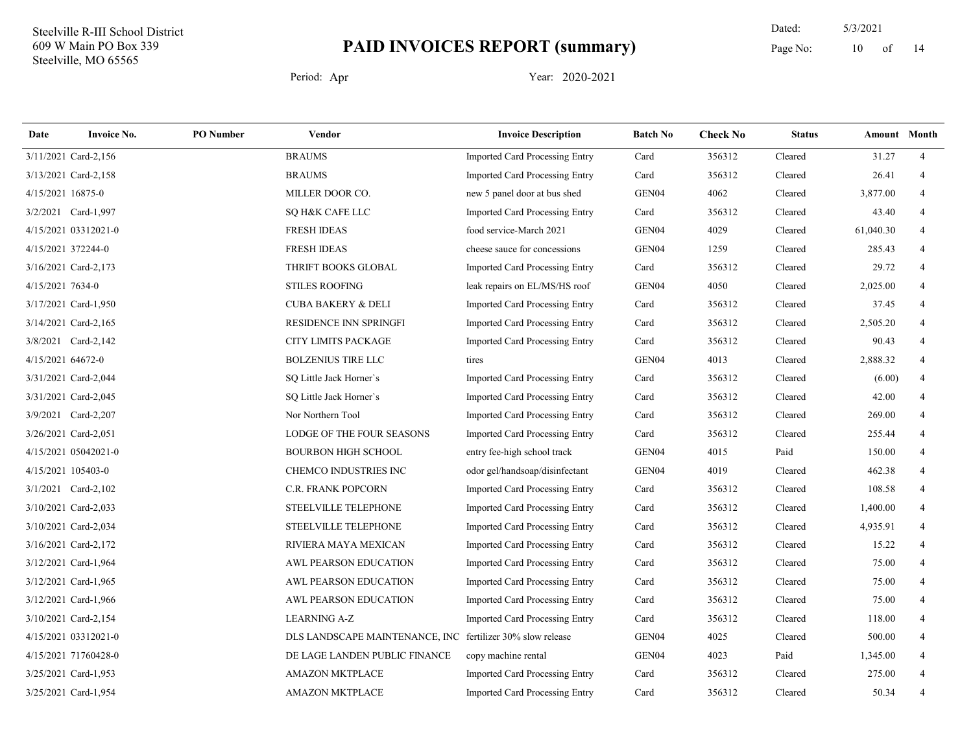14 Dated: 5/3/2021 Page No:  $10$  of

| Date              | <b>Invoice No.</b>   | <b>PO</b> Number | Vendor                                                     | <b>Invoice Description</b>            | <b>Batch No</b>   | <b>Check No</b> | <b>Status</b> |           | <b>Amount</b> Month |
|-------------------|----------------------|------------------|------------------------------------------------------------|---------------------------------------|-------------------|-----------------|---------------|-----------|---------------------|
|                   | 3/11/2021 Card-2,156 |                  | <b>BRAUMS</b>                                              | Imported Card Processing Entry        | Card              | 356312          | Cleared       | 31.27     | $\overline{4}$      |
|                   | 3/13/2021 Card-2,158 |                  | <b>BRAUMS</b>                                              | Imported Card Processing Entry        | Card              | 356312          | Cleared       | 26.41     | $\overline{4}$      |
| 4/15/2021 16875-0 |                      |                  | MILLER DOOR CO.                                            | new 5 panel door at bus shed          | GEN04             | 4062            | Cleared       | 3,877.00  | $\overline{4}$      |
|                   | 3/2/2021 Card-1,997  |                  | SQ H&K CAFE LLC                                            | <b>Imported Card Processing Entry</b> | Card              | 356312          | Cleared       | 43.40     | $\overline{4}$      |
|                   | 4/15/2021 03312021-0 |                  | <b>FRESH IDEAS</b>                                         | food service-March 2021               | GEN04             | 4029            | Cleared       | 61,040.30 | $\overline{4}$      |
|                   | 4/15/2021 372244-0   |                  | <b>FRESH IDEAS</b>                                         | cheese sauce for concessions          | GEN04             | 1259            | Cleared       | 285.43    | 4                   |
|                   | 3/16/2021 Card-2,173 |                  | THRIFT BOOKS GLOBAL                                        | Imported Card Processing Entry        | Card              | 356312          | Cleared       | 29.72     | 4                   |
| 4/15/2021 7634-0  |                      |                  | <b>STILES ROOFING</b>                                      | leak repairs on EL/MS/HS roof         | GEN04             | 4050            | Cleared       | 2,025.00  | 4                   |
|                   | 3/17/2021 Card-1,950 |                  | <b>CUBA BAKERY &amp; DELI</b>                              | Imported Card Processing Entry        | Card              | 356312          | Cleared       | 37.45     | $\overline{4}$      |
|                   | 3/14/2021 Card-2,165 |                  | RESIDENCE INN SPRINGFI                                     | Imported Card Processing Entry        | Card              | 356312          | Cleared       | 2,505.20  | $\overline{4}$      |
|                   | 3/8/2021 Card-2,142  |                  | CITY LIMITS PACKAGE                                        | Imported Card Processing Entry        | Card              | 356312          | Cleared       | 90.43     | $\overline{4}$      |
| 4/15/2021 64672-0 |                      |                  | <b>BOLZENIUS TIRE LLC</b>                                  | tires                                 | GEN04             | 4013            | Cleared       | 2,888.32  | $\overline{4}$      |
|                   | 3/31/2021 Card-2,044 |                  | SO Little Jack Horner's                                    | <b>Imported Card Processing Entry</b> | Card              | 356312          | Cleared       | (6.00)    | $\overline{4}$      |
|                   | 3/31/2021 Card-2,045 |                  | SO Little Jack Horner's                                    | Imported Card Processing Entry        | Card              | 356312          | Cleared       | 42.00     | $\overline{4}$      |
|                   | 3/9/2021 Card-2,207  |                  | Nor Northern Tool                                          | Imported Card Processing Entry        | Card              | 356312          | Cleared       | 269.00    | $\overline{4}$      |
|                   | 3/26/2021 Card-2,051 |                  | LODGE OF THE FOUR SEASONS                                  | Imported Card Processing Entry        | Card              | 356312          | Cleared       | 255.44    | $\overline{4}$      |
|                   | 4/15/2021 05042021-0 |                  | <b>BOURBON HIGH SCHOOL</b>                                 | entry fee-high school track           | GEN <sub>04</sub> | 4015            | Paid          | 150.00    | $\overline{4}$      |
|                   | 4/15/2021 105403-0   |                  | <b>CHEMCO INDUSTRIES INC</b>                               | odor gel/handsoap/disinfectant        | GEN04             | 4019            | Cleared       | 462.38    | $\overline{4}$      |
|                   | 3/1/2021 Card-2,102  |                  | C.R. FRANK POPCORN                                         | Imported Card Processing Entry        | Card              | 356312          | Cleared       | 108.58    | $\overline{4}$      |
|                   | 3/10/2021 Card-2,033 |                  | STEELVILLE TELEPHONE                                       | Imported Card Processing Entry        | Card              | 356312          | Cleared       | 1,400.00  | $\overline{4}$      |
|                   | 3/10/2021 Card-2,034 |                  | STEELVILLE TELEPHONE                                       | Imported Card Processing Entry        | Card              | 356312          | Cleared       | 4,935.91  | $\overline{4}$      |
|                   | 3/16/2021 Card-2,172 |                  | RIVIERA MAYA MEXICAN                                       | <b>Imported Card Processing Entry</b> | Card              | 356312          | Cleared       | 15.22     | $\overline{4}$      |
|                   | 3/12/2021 Card-1,964 |                  | AWL PEARSON EDUCATION                                      | Imported Card Processing Entry        | Card              | 356312          | Cleared       | 75.00     | $\overline{4}$      |
|                   | 3/12/2021 Card-1,965 |                  | AWL PEARSON EDUCATION                                      | Imported Card Processing Entry        | Card              | 356312          | Cleared       | 75.00     | $\overline{4}$      |
|                   | 3/12/2021 Card-1,966 |                  | AWL PEARSON EDUCATION                                      | Imported Card Processing Entry        | Card              | 356312          | Cleared       | 75.00     | $\overline{4}$      |
|                   | 3/10/2021 Card-2,154 |                  | <b>LEARNING A-Z</b>                                        | Imported Card Processing Entry        | Card              | 356312          | Cleared       | 118.00    | $\overline{4}$      |
|                   | 4/15/2021 03312021-0 |                  | DLS LANDSCAPE MAINTENANCE, INC fertilizer 30% slow release |                                       | GEN04             | 4025            | Cleared       | 500.00    | $\overline{4}$      |
|                   | 4/15/2021 71760428-0 |                  | DE LAGE LANDEN PUBLIC FINANCE                              | copy machine rental                   | GEN04             | 4023            | Paid          | 1,345.00  | $\overline{4}$      |
|                   | 3/25/2021 Card-1,953 |                  | <b>AMAZON MKTPLACE</b>                                     | Imported Card Processing Entry        | Card              | 356312          | Cleared       | 275.00    | $\overline{4}$      |
|                   | 3/25/2021 Card-1,954 |                  | <b>AMAZON MKTPLACE</b>                                     | Imported Card Processing Entry        | Card              | 356312          | Cleared       | 50.34     | 4                   |
|                   |                      |                  |                                                            |                                       |                   |                 |               |           |                     |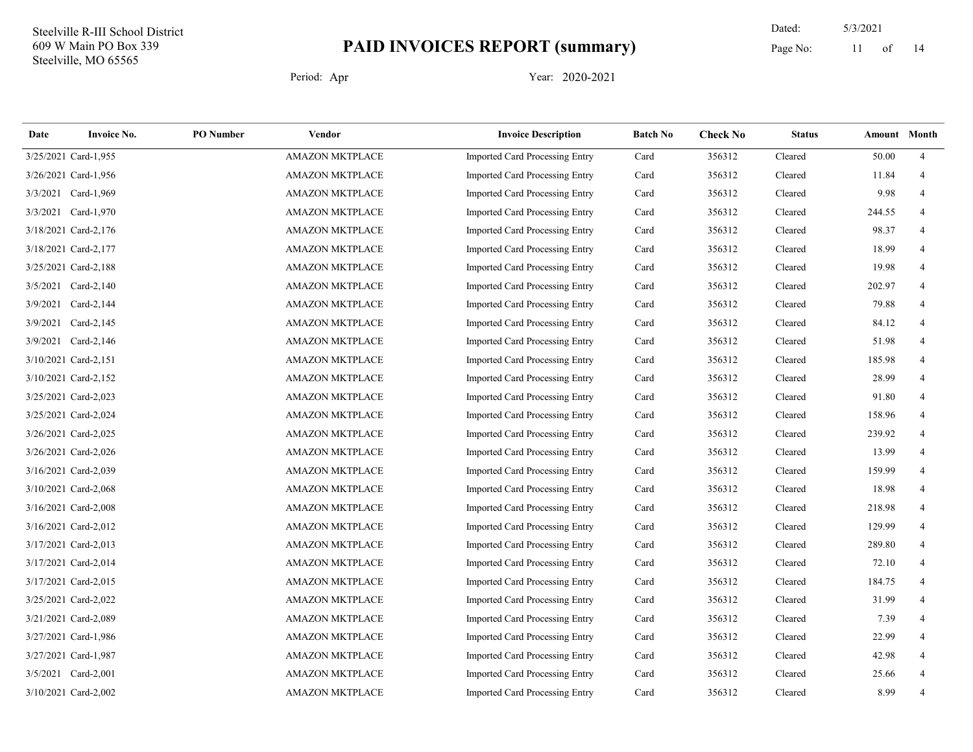14 Dated: 5/3/2021 Page No: 11 of

| Date     | <b>Invoice No.</b>   | <b>PO</b> Number | Vendor                 | <b>Invoice Description</b>            | <b>Batch No</b> | <b>Check No</b> | <b>Status</b> | Amount Month |                |
|----------|----------------------|------------------|------------------------|---------------------------------------|-----------------|-----------------|---------------|--------------|----------------|
|          | 3/25/2021 Card-1,955 |                  | AMAZON MKTPLACE        | <b>Imported Card Processing Entry</b> | Card            | 356312          | Cleared       | 50.00        | $\overline{4}$ |
|          | 3/26/2021 Card-1,956 |                  | <b>AMAZON MKTPLACE</b> | Imported Card Processing Entry        | Card            | 356312          | Cleared       | 11.84        | 4              |
|          | 3/3/2021 Card-1,969  |                  | <b>AMAZON MKTPLACE</b> | <b>Imported Card Processing Entry</b> | Card            | 356312          | Cleared       | 9.98         |                |
|          | 3/3/2021 Card-1,970  |                  | <b>AMAZON MKTPLACE</b> | Imported Card Processing Entry        | Card            | 356312          | Cleared       | 244.55       | 4              |
|          | 3/18/2021 Card-2,176 |                  | <b>AMAZON MKTPLACE</b> | Imported Card Processing Entry        | Card            | 356312          | Cleared       | 98.37        | 4              |
|          | 3/18/2021 Card-2,177 |                  | <b>AMAZON MKTPLACE</b> | Imported Card Processing Entry        | Card            | 356312          | Cleared       | 18.99        | 4              |
|          | 3/25/2021 Card-2,188 |                  | <b>AMAZON MKTPLACE</b> | Imported Card Processing Entry        | Card            | 356312          | Cleared       | 19.98        | 4              |
|          | 3/5/2021 Card-2,140  |                  | <b>AMAZON MKTPLACE</b> | Imported Card Processing Entry        | Card            | 356312          | Cleared       | 202.97       |                |
| 3/9/2021 | Card-2,144           |                  | <b>AMAZON MKTPLACE</b> | Imported Card Processing Entry        | Card            | 356312          | Cleared       | 79.88        |                |
|          | 3/9/2021 Card-2,145  |                  | <b>AMAZON MKTPLACE</b> | Imported Card Processing Entry        | Card            | 356312          | Cleared       | 84.12        | 4              |
|          | 3/9/2021 Card-2,146  |                  | <b>AMAZON MKTPLACE</b> | Imported Card Processing Entry        | Card            | 356312          | Cleared       | 51.98        | 4              |
|          | 3/10/2021 Card-2,151 |                  | <b>AMAZON MKTPLACE</b> | Imported Card Processing Entry        | Card            | 356312          | Cleared       | 185.98       | 4              |
|          | 3/10/2021 Card-2,152 |                  | <b>AMAZON MKTPLACE</b> | <b>Imported Card Processing Entry</b> | Card            | 356312          | Cleared       | 28.99        |                |
|          | 3/25/2021 Card-2,023 |                  | <b>AMAZON MKTPLACE</b> | Imported Card Processing Entry        | Card            | 356312          | Cleared       | 91.80        | 4              |
|          | 3/25/2021 Card-2,024 |                  | <b>AMAZON MKTPLACE</b> | Imported Card Processing Entry        | Card            | 356312          | Cleared       | 158.96       | $\overline{4}$ |
|          | 3/26/2021 Card-2,025 |                  | <b>AMAZON MKTPLACE</b> | Imported Card Processing Entry        | Card            | 356312          | Cleared       | 239.92       | 4              |
|          | 3/26/2021 Card-2,026 |                  | <b>AMAZON MKTPLACE</b> | Imported Card Processing Entry        | Card            | 356312          | Cleared       | 13.99        | 4              |
|          | 3/16/2021 Card-2,039 |                  | <b>AMAZON MKTPLACE</b> | Imported Card Processing Entry        | Card            | 356312          | Cleared       | 159.99       |                |
|          | 3/10/2021 Card-2,068 |                  | <b>AMAZON MKTPLACE</b> | Imported Card Processing Entry        | Card            | 356312          | Cleared       | 18.98        | 4              |
|          | 3/16/2021 Card-2,008 |                  | <b>AMAZON MKTPLACE</b> | Imported Card Processing Entry        | Card            | 356312          | Cleared       | 218.98       | 4              |
|          | 3/16/2021 Card-2,012 |                  | <b>AMAZON MKTPLACE</b> | Imported Card Processing Entry        | Card            | 356312          | Cleared       | 129.99       | $\overline{4}$ |
|          | 3/17/2021 Card-2,013 |                  | <b>AMAZON MKTPLACE</b> | <b>Imported Card Processing Entry</b> | Card            | 356312          | Cleared       | 289.80       | 4              |
|          | 3/17/2021 Card-2,014 |                  | <b>AMAZON MKTPLACE</b> | Imported Card Processing Entry        | Card            | 356312          | Cleared       | 72.10        | 4              |
|          | 3/17/2021 Card-2,015 |                  | <b>AMAZON MKTPLACE</b> | Imported Card Processing Entry        | Card            | 356312          | Cleared       | 184.75       | 4              |
|          | 3/25/2021 Card-2,022 |                  | <b>AMAZON MKTPLACE</b> | Imported Card Processing Entry        | Card            | 356312          | Cleared       | 31.99        | 4              |
|          | 3/21/2021 Card-2,089 |                  | <b>AMAZON MKTPLACE</b> | Imported Card Processing Entry        | Card            | 356312          | Cleared       | 7.39         | 4              |
|          | 3/27/2021 Card-1,986 |                  | <b>AMAZON MKTPLACE</b> | <b>Imported Card Processing Entry</b> | Card            | 356312          | Cleared       | 22.99        |                |
|          | 3/27/2021 Card-1,987 |                  | <b>AMAZON MKTPLACE</b> | Imported Card Processing Entry        | Card            | 356312          | Cleared       | 42.98        |                |
|          | 3/5/2021 Card-2,001  |                  | <b>AMAZON MKTPLACE</b> | Imported Card Processing Entry        | Card            | 356312          | Cleared       | 25.66        | 4              |
|          | 3/10/2021 Card-2,002 |                  | <b>AMAZON MKTPLACE</b> | Imported Card Processing Entry        | Card            | 356312          | Cleared       | 8.99         | 4              |
|          |                      |                  |                        |                                       |                 |                 |               |              |                |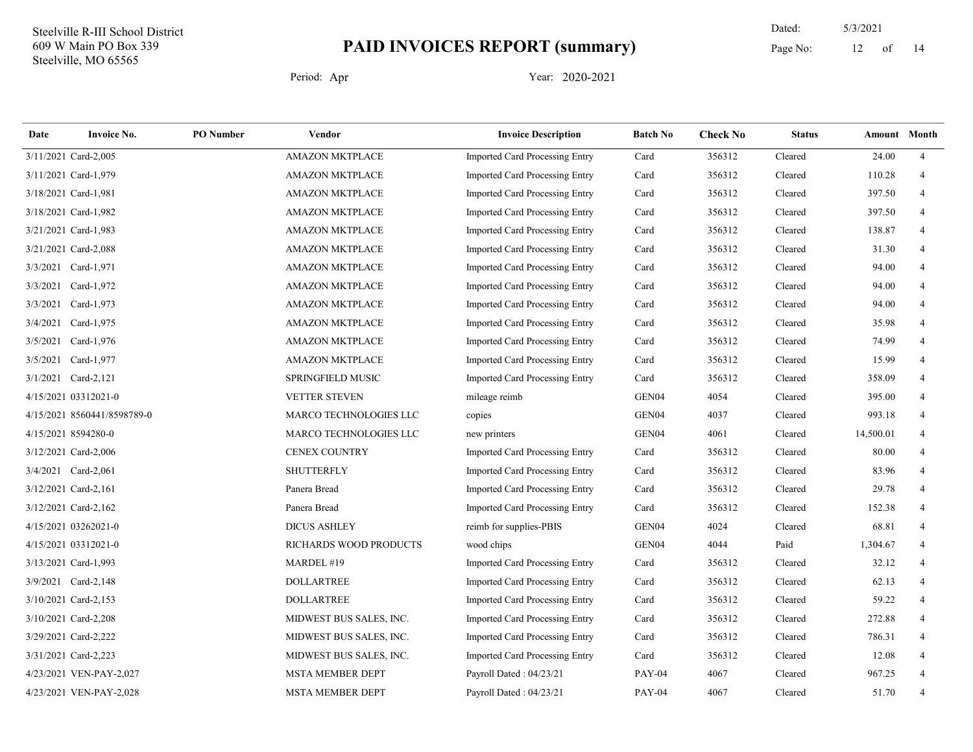14 Dated: 5/3/2021 Page No: 12 of

| Date                 | <b>Invoice No.</b>          | <b>PO</b> Number | Vendor                   | <b>Invoice Description</b>            | <b>Batch No</b>   | <b>Check No</b> | <b>Status</b> | Amount Month |                |
|----------------------|-----------------------------|------------------|--------------------------|---------------------------------------|-------------------|-----------------|---------------|--------------|----------------|
|                      | 3/11/2021 Card-2,005        |                  | AMAZON MKTPLACE          | Imported Card Processing Entry        | Card              | 356312          | Cleared       | 24.00        | $\overline{4}$ |
| 3/11/2021 Card-1,979 |                             |                  | <b>AMAZON MKTPLACE</b>   | <b>Imported Card Processing Entry</b> | Card              | 356312          | Cleared       | 110.28       | $\overline{4}$ |
| 3/18/2021 Card-1,981 |                             |                  | <b>AMAZON MKTPLACE</b>   | Imported Card Processing Entry        | Card              | 356312          | Cleared       | 397.50       | 4              |
|                      | 3/18/2021 Card-1,982        |                  | <b>AMAZON MKTPLACE</b>   | Imported Card Processing Entry        | Card              | 356312          | Cleared       | 397.50       | 4              |
|                      | 3/21/2021 Card-1,983        |                  | <b>AMAZON MKTPLACE</b>   | <b>Imported Card Processing Entry</b> | Card              | 356312          | Cleared       | 138.87       | 4              |
|                      | 3/21/2021 Card-2,088        |                  | <b>AMAZON MKTPLACE</b>   | Imported Card Processing Entry        | Card              | 356312          | Cleared       | 31.30        | $\overline{4}$ |
| 3/3/2021 Card-1,971  |                             |                  | <b>AMAZON MKTPLACE</b>   | Imported Card Processing Entry        | Card              | 356312          | Cleared       | 94.00        | 4              |
|                      | 3/3/2021 Card-1,972         |                  | <b>AMAZON MKTPLACE</b>   | Imported Card Processing Entry        | Card              | 356312          | Cleared       | 94.00        |                |
| 3/3/2021             | Card-1,973                  |                  | <b>AMAZON MKTPLACE</b>   | Imported Card Processing Entry        | Card              | 356312          | Cleared       | 94.00        |                |
|                      | 3/4/2021 Card-1,975         |                  | <b>AMAZON MKTPLACE</b>   | Imported Card Processing Entry        | Card              | 356312          | Cleared       | 35.98        | 4              |
|                      | 3/5/2021 Card-1,976         |                  | <b>AMAZON MKTPLACE</b>   | Imported Card Processing Entry        | Card              | 356312          | Cleared       | 74.99        | 4              |
|                      | 3/5/2021 Card-1,977         |                  | <b>AMAZON MKTPLACE</b>   | Imported Card Processing Entry        | Card              | 356312          | Cleared       | 15.99        | $\overline{4}$ |
|                      | 3/1/2021 Card-2,121         |                  | <b>SPRINGFIELD MUSIC</b> | Imported Card Processing Entry        | Card              | 356312          | Cleared       | 358.09       | 4              |
|                      | 4/15/2021 03312021-0        |                  | <b>VETTER STEVEN</b>     | mileage reimb                         | GEN04             | 4054            | Cleared       | 395.00       |                |
|                      | 4/15/2021 8560441/8598789-0 |                  | MARCO TECHNOLOGIES LLC   | copies                                | GEN04             | 4037            | Cleared       | 993.18       | 4              |
| 4/15/2021 8594280-0  |                             |                  | MARCO TECHNOLOGIES LLC   | new printers                          | GEN04             | 4061            | Cleared       | 14,500.01    | $\overline{4}$ |
|                      | 3/12/2021 Card-2,006        |                  | CENEX COUNTRY            | <b>Imported Card Processing Entry</b> | Card              | 356312          | Cleared       | 80.00        | 4              |
|                      | 3/4/2021 Card-2,061         |                  | <b>SHUTTERFLY</b>        | Imported Card Processing Entry        | Card              | 356312          | Cleared       | 83.96        | 4              |
|                      | 3/12/2021 Card-2,161        |                  | Panera Bread             | Imported Card Processing Entry        | Card              | 356312          | Cleared       | 29.78        | $\overline{4}$ |
| 3/12/2021 Card-2,162 |                             |                  | Panera Bread             | Imported Card Processing Entry        | Card              | 356312          | Cleared       | 152.38       | 4              |
|                      | 4/15/2021 03262021-0        |                  | <b>DICUS ASHLEY</b>      | reimb for supplies-PBIS               | GEN04             | 4024            | Cleared       | 68.81        | $\overline{4}$ |
|                      | 4/15/2021 03312021-0        |                  | RICHARDS WOOD PRODUCTS   | wood chips                            | GEN <sub>04</sub> | 4044            | Paid          | 1,304.67     | 4              |
|                      | 3/13/2021 Card-1,993        |                  | MARDEL #19               | Imported Card Processing Entry        | Card              | 356312          | Cleared       | 32.12        | 4              |
|                      | 3/9/2021 Card-2,148         |                  | <b>DOLLARTREE</b>        | Imported Card Processing Entry        | Card              | 356312          | Cleared       | 62.13        | $\overline{4}$ |
|                      | 3/10/2021 Card-2,153        |                  | <b>DOLLARTREE</b>        | Imported Card Processing Entry        | Card              | 356312          | Cleared       | 59.22        | 4              |
|                      | 3/10/2021 Card-2,208        |                  | MIDWEST BUS SALES, INC.  | Imported Card Processing Entry        | Card              | 356312          | Cleared       | 272.88       | 4              |
|                      | 3/29/2021 Card-2,222        |                  | MIDWEST BUS SALES, INC.  | Imported Card Processing Entry        | Card              | 356312          | Cleared       | 786.31       | $\overline{4}$ |
|                      | 3/31/2021 Card-2,223        |                  | MIDWEST BUS SALES, INC.  | Imported Card Processing Entry        | Card              | 356312          | Cleared       | 12.08        | 4              |
|                      | 4/23/2021 VEN-PAY-2,027     |                  | <b>MSTA MEMBER DEPT</b>  | Payroll Dated: 04/23/21               | <b>PAY-04</b>     | 4067            | Cleared       | 967.25       | 4              |
|                      | 4/23/2021 VEN-PAY-2,028     |                  | <b>MSTA MEMBER DEPT</b>  | Payroll Dated: 04/23/21               | <b>PAY-04</b>     | 4067            | Cleared       | 51.70        | 4              |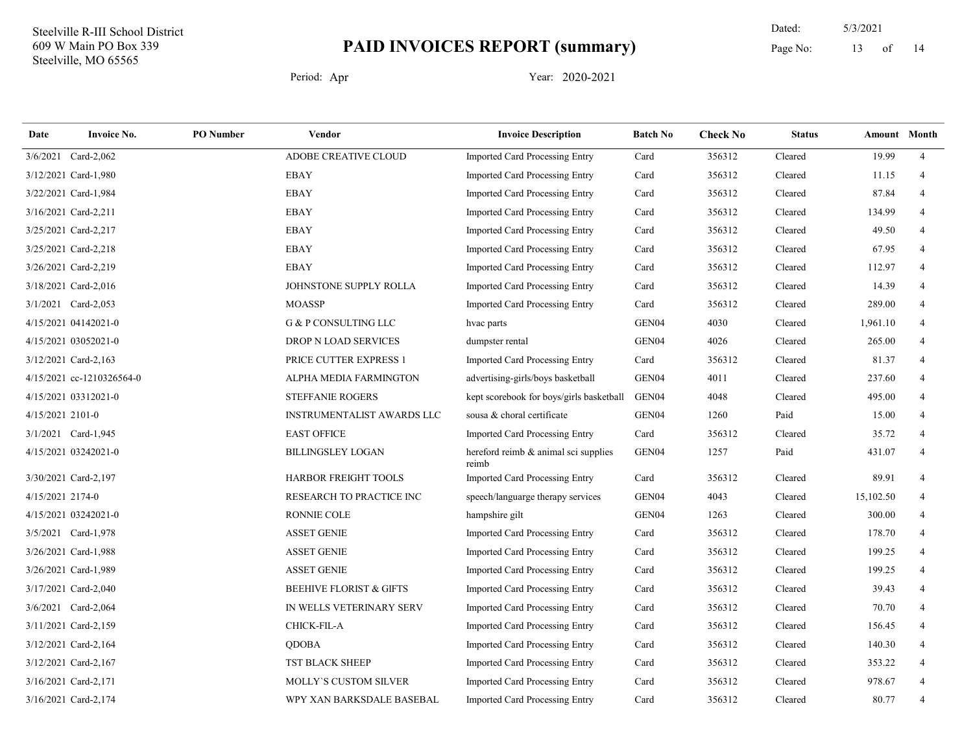14 Dated: 5/3/2021 Page No: 13 of

| Date             | <b>Invoice No.</b>        | <b>PO</b> Number | Vendor                             | <b>Invoice Description</b>                    | <b>Batch No</b>   | <b>Check No</b> | <b>Status</b> | <b>Amount</b> Month |                |
|------------------|---------------------------|------------------|------------------------------------|-----------------------------------------------|-------------------|-----------------|---------------|---------------------|----------------|
|                  | 3/6/2021 Card-2,062       |                  | ADOBE CREATIVE CLOUD               | Imported Card Processing Entry                | Card              | 356312          | Cleared       | 19.99               | $\overline{4}$ |
|                  | 3/12/2021 Card-1,980      |                  | <b>EBAY</b>                        | <b>Imported Card Processing Entry</b>         | Card              | 356312          | Cleared       | 11.15               | $\overline{4}$ |
|                  | 3/22/2021 Card-1,984      |                  | <b>EBAY</b>                        | <b>Imported Card Processing Entry</b>         | Card              | 356312          | Cleared       | 87.84               |                |
|                  | 3/16/2021 Card-2,211      |                  | <b>EBAY</b>                        | Imported Card Processing Entry                | Card              | 356312          | Cleared       | 134.99              | 4              |
|                  | 3/25/2021 Card-2,217      |                  | <b>EBAY</b>                        | <b>Imported Card Processing Entry</b>         | Card              | 356312          | Cleared       | 49.50               | 4              |
|                  | 3/25/2021 Card-2,218      |                  | <b>EBAY</b>                        | Imported Card Processing Entry                | Card              | 356312          | Cleared       | 67.95               | $\overline{4}$ |
|                  | 3/26/2021 Card-2,219      |                  | EBAY                               | Imported Card Processing Entry                | Card              | 356312          | Cleared       | 112.97              | 4              |
|                  | 3/18/2021 Card-2,016      |                  | JOHNSTONE SUPPLY ROLLA             | <b>Imported Card Processing Entry</b>         | Card              | 356312          | Cleared       | 14.39               | 4              |
|                  | 3/1/2021 Card-2,053       |                  | <b>MOASSP</b>                      | Imported Card Processing Entry                | Card              | 356312          | Cleared       | 289.00              | 4              |
|                  | 4/15/2021 04142021-0      |                  | G & P CONSULTING LLC               | hvac parts                                    | GEN <sub>04</sub> | 4030            | Cleared       | 1,961.10            | 4              |
|                  | 4/15/2021 03052021-0      |                  | DROP N LOAD SERVICES               | dumpster rental                               | GEN <sub>04</sub> | 4026            | Cleared       | 265.00              | 4              |
|                  | 3/12/2021 Card-2,163      |                  | PRICE CUTTER EXPRESS 1             | Imported Card Processing Entry                | Card              | 356312          | Cleared       | 81.37               | $\overline{4}$ |
|                  | 4/15/2021 cc-1210326564-0 |                  | ALPHA MEDIA FARMINGTON             | advertising-girls/boys basketball             | GEN <sub>04</sub> | 4011            | Cleared       | 237.60              | 4              |
|                  | 4/15/2021 03312021-0      |                  | STEFFANIE ROGERS                   | kept scorebook for boys/girls basketball      | GEN04             | 4048            | Cleared       | 495.00              | 4              |
| 4/15/2021 2101-0 |                           |                  | <b>INSTRUMENTALIST AWARDS LLC</b>  | sousa & choral certificate                    | GEN <sub>04</sub> | 1260            | Paid          | 15.00               | $\overline{4}$ |
|                  | 3/1/2021 Card-1,945       |                  | <b>EAST OFFICE</b>                 | Imported Card Processing Entry                | Card              | 356312          | Cleared       | 35.72               |                |
|                  | 4/15/2021 03242021-0      |                  | <b>BILLINGSLEY LOGAN</b>           | hereford reimb & animal sci supplies<br>reimb | GEN04             | 1257            | Paid          | 431.07              | $\overline{4}$ |
|                  | 3/30/2021 Card-2,197      |                  | HARBOR FREIGHT TOOLS               | Imported Card Processing Entry                | Card              | 356312          | Cleared       | 89.91               | $\overline{4}$ |
| 4/15/2021 2174-0 |                           |                  | RESEARCH TO PRACTICE INC           | speech/languarge therapy services             | GEN <sub>04</sub> | 4043            | Cleared       | 15,102.50           | 4              |
|                  | 4/15/2021 03242021-0      |                  | <b>RONNIE COLE</b>                 | hampshire gilt                                | GEN04             | 1263            | Cleared       | 300.00              | 4              |
|                  | 3/5/2021 Card-1,978       |                  | <b>ASSET GENIE</b>                 | Imported Card Processing Entry                | Card              | 356312          | Cleared       | 178.70              | 4              |
|                  | 3/26/2021 Card-1,988      |                  | <b>ASSET GENIE</b>                 | Imported Card Processing Entry                | Card              | 356312          | Cleared       | 199.25              | 4              |
|                  | 3/26/2021 Card-1,989      |                  | <b>ASSET GENIE</b>                 | Imported Card Processing Entry                | Card              | 356312          | Cleared       | 199.25              | $\overline{4}$ |
|                  | 3/17/2021 Card-2,040      |                  | <b>BEEHIVE FLORIST &amp; GIFTS</b> | Imported Card Processing Entry                | Card              | 356312          | Cleared       | 39.43               | 4              |
|                  | 3/6/2021 Card-2,064       |                  | IN WELLS VETERINARY SERV           | Imported Card Processing Entry                | Card              | 356312          | Cleared       | 70.70               | $\overline{4}$ |
|                  | 3/11/2021 Card-2,159      |                  | CHICK-FIL-A                        | Imported Card Processing Entry                | Card              | 356312          | Cleared       | 156.45              | 4              |
|                  | 3/12/2021 Card-2,164      |                  | <b>QDOBA</b>                       | Imported Card Processing Entry                | Card              | 356312          | Cleared       | 140.30              | 4              |
|                  | 3/12/2021 Card-2,167      |                  | TST BLACK SHEEP                    | Imported Card Processing Entry                | Card              | 356312          | Cleared       | 353.22              | $\overline{4}$ |
|                  | 3/16/2021 Card-2,171      |                  | MOLLY'S CUSTOM SILVER              | Imported Card Processing Entry                | Card              | 356312          | Cleared       | 978.67              | $\overline{4}$ |
|                  | 3/16/2021 Card-2,174      |                  | WPY XAN BARKSDALE BASEBAL          | <b>Imported Card Processing Entry</b>         | Card              | 356312          | Cleared       | 80.77               | $\overline{4}$ |